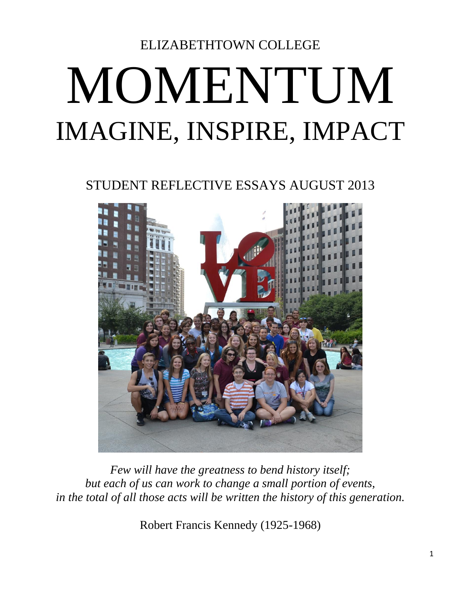# ELIZABETHTOWN COLLEGE MOMENTUM IMAGINE, INSPIRE, IMPACT

STUDENT REFLECTIVE ESSAYS AUGUST 2013



*Few will have the greatness to bend history itself; but each of us can work to change a small portion of events, in the total of all those acts will be written the history of this generation.*

Robert Francis Kennedy (1925-1968)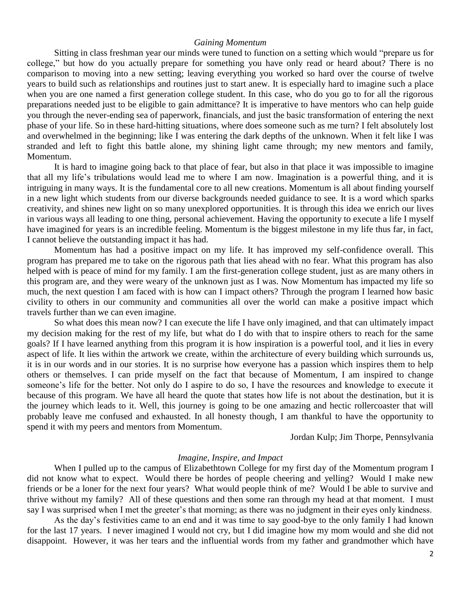#### *Gaining Momentum*

Sitting in class freshman year our minds were tuned to function on a setting which would "prepare us for college," but how do you actually prepare for something you have only read or heard about? There is no comparison to moving into a new setting; leaving everything you worked so hard over the course of twelve years to build such as relationships and routines just to start anew. It is especially hard to imagine such a place when you are one named a first generation college student. In this case, who do you go to for all the rigorous preparations needed just to be eligible to gain admittance? It is imperative to have mentors who can help guide you through the never-ending sea of paperwork, financials, and just the basic transformation of entering the next phase of your life. So in these hard-hitting situations, where does someone such as me turn? I felt absolutely lost and overwhelmed in the beginning; like I was entering the dark depths of the unknown. When it felt like I was stranded and left to fight this battle alone, my shining light came through; my new mentors and family, Momentum.

It is hard to imagine going back to that place of fear, but also in that place it was impossible to imagine that all my life's tribulations would lead me to where I am now. Imagination is a powerful thing, and it is intriguing in many ways. It is the fundamental core to all new creations. Momentum is all about finding yourself in a new light which students from our diverse backgrounds needed guidance to see. It is a word which sparks creativity, and shines new light on so many unexplored opportunities. It is through this idea we enrich our lives in various ways all leading to one thing, personal achievement. Having the opportunity to execute a life I myself have imagined for years is an incredible feeling. Momentum is the biggest milestone in my life thus far, in fact, I cannot believe the outstanding impact it has had.

Momentum has had a positive impact on my life. It has improved my self-confidence overall. This program has prepared me to take on the rigorous path that lies ahead with no fear. What this program has also helped with is peace of mind for my family. I am the first-generation college student, just as are many others in this program are, and they were weary of the unknown just as I was. Now Momentum has impacted my life so much, the next question I am faced with is how can I impact others? Through the program I learned how basic civility to others in our community and communities all over the world can make a positive impact which travels further than we can even imagine.

So what does this mean now? I can execute the life I have only imagined, and that can ultimately impact my decision making for the rest of my life, but what do I do with that to inspire others to reach for the same goals? If I have learned anything from this program it is how inspiration is a powerful tool, and it lies in every aspect of life. It lies within the artwork we create, within the architecture of every building which surrounds us, it is in our words and in our stories. It is no surprise how everyone has a passion which inspires them to help others or themselves. I can pride myself on the fact that because of Momentum, I am inspired to change someone's life for the better. Not only do I aspire to do so, I have the resources and knowledge to execute it because of this program. We have all heard the quote that states how life is not about the destination, but it is the journey which leads to it. Well, this journey is going to be one amazing and hectic rollercoaster that will probably leave me confused and exhausted. In all honesty though, I am thankful to have the opportunity to spend it with my peers and mentors from Momentum.

Jordan Kulp; Jim Thorpe, Pennsylvania

#### *Imagine, Inspire, and Impact*

When I pulled up to the campus of Elizabethtown College for my first day of the Momentum program I did not know what to expect. Would there be hordes of people cheering and yelling? Would I make new friends or be a loner for the next four years? What would people think of me? Would I be able to survive and thrive without my family? All of these questions and then some ran through my head at that moment. I must say I was surprised when I met the greeter's that morning; as there was no judgment in their eyes only kindness.

As the day's festivities came to an end and it was time to say good-bye to the only family I had known for the last 17 years. I never imagined I would not cry, but I did imagine how my mom would and she did not disappoint. However, it was her tears and the influential words from my father and grandmother which have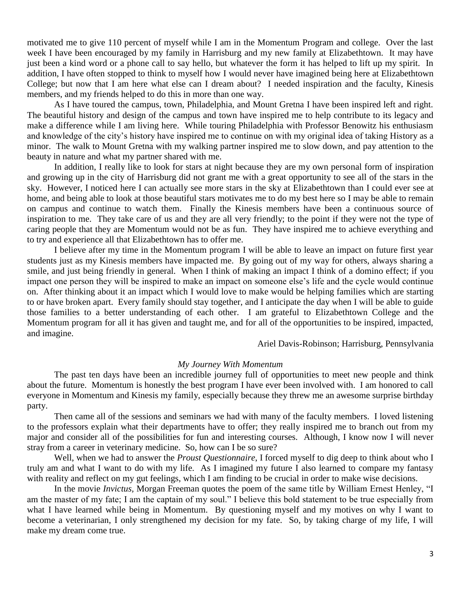motivated me to give 110 percent of myself while I am in the Momentum Program and college. Over the last week I have been encouraged by my family in Harrisburg and my new family at Elizabethtown. It may have just been a kind word or a phone call to say hello, but whatever the form it has helped to lift up my spirit. In addition, I have often stopped to think to myself how I would never have imagined being here at Elizabethtown College; but now that I am here what else can I dream about? I needed inspiration and the faculty, Kinesis members, and my friends helped to do this in more than one way.

As I have toured the campus, town, Philadelphia, and Mount Gretna I have been inspired left and right. The beautiful history and design of the campus and town have inspired me to help contribute to its legacy and make a difference while I am living here. While touring Philadelphia with Professor Benowitz his enthusiasm and knowledge of the city's history have inspired me to continue on with my original idea of taking History as a minor. The walk to Mount Gretna with my walking partner inspired me to slow down, and pay attention to the beauty in nature and what my partner shared with me.

In addition, I really like to look for stars at night because they are my own personal form of inspiration and growing up in the city of Harrisburg did not grant me with a great opportunity to see all of the stars in the sky. However, I noticed here I can actually see more stars in the sky at Elizabethtown than I could ever see at home, and being able to look at those beautiful stars motivates me to do my best here so I may be able to remain on campus and continue to watch them. Finally the Kinesis members have been a continuous source of inspiration to me. They take care of us and they are all very friendly; to the point if they were not the type of caring people that they are Momentum would not be as fun. They have inspired me to achieve everything and to try and experience all that Elizabethtown has to offer me.

I believe after my time in the Momentum program I will be able to leave an impact on future first year students just as my Kinesis members have impacted me. By going out of my way for others, always sharing a smile, and just being friendly in general. When I think of making an impact I think of a domino effect; if you impact one person they will be inspired to make an impact on someone else's life and the cycle would continue on. After thinking about it an impact which I would love to make would be helping families which are starting to or have broken apart. Every family should stay together, and I anticipate the day when I will be able to guide those families to a better understanding of each other. I am grateful to Elizabethtown College and the Momentum program for all it has given and taught me, and for all of the opportunities to be inspired, impacted, and imagine.

Ariel Davis-Robinson; Harrisburg, Pennsylvania

#### *My Journey With Momentum*

The past ten days have been an incredible journey full of opportunities to meet new people and think about the future. Momentum is honestly the best program I have ever been involved with. I am honored to call everyone in Momentum and Kinesis my family, especially because they threw me an awesome surprise birthday party.

Then came all of the sessions and seminars we had with many of the faculty members. I loved listening to the professors explain what their departments have to offer; they really inspired me to branch out from my major and consider all of the possibilities for fun and interesting courses. Although, I know now I will never stray from a career in veterinary medicine. So, how can I be so sure?

Well, when we had to answer the *Proust Questionnaire*, I forced myself to dig deep to think about who I truly am and what I want to do with my life. As I imagined my future I also learned to compare my fantasy with reality and reflect on my gut feelings, which I am finding to be crucial in order to make wise decisions.

In the movie *Invictus,* Morgan Freeman quotes the poem of the same title by William Ernest Henley, "I am the master of my fate; I am the captain of my soul." I believe this bold statement to be true especially from what I have learned while being in Momentum. By questioning myself and my motives on why I want to become a veterinarian, I only strengthened my decision for my fate. So, by taking charge of my life, I will make my dream come true.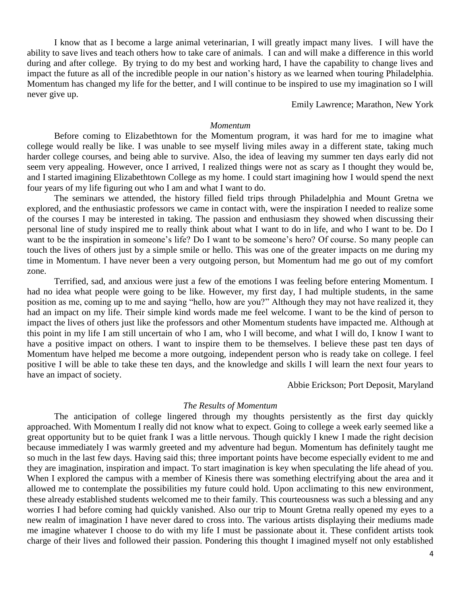I know that as I become a large animal veterinarian, I will greatly impact many lives. I will have the ability to save lives and teach others how to take care of animals. I can and will make a difference in this world during and after college. By trying to do my best and working hard, I have the capability to change lives and impact the future as all of the incredible people in our nation's history as we learned when touring Philadelphia. Momentum has changed my life for the better, and I will continue to be inspired to use my imagination so I will never give up.

Emily Lawrence; Marathon, New York

# *Momentum*

Before coming to Elizabethtown for the Momentum program, it was hard for me to imagine what college would really be like. I was unable to see myself living miles away in a different state, taking much harder college courses, and being able to survive. Also, the idea of leaving my summer ten days early did not seem very appealing. However, once I arrived, I realized things were not as scary as I thought they would be, and I started imagining Elizabethtown College as my home. I could start imagining how I would spend the next four years of my life figuring out who I am and what I want to do.

The seminars we attended, the history filled field trips through Philadelphia and Mount Gretna we explored, and the enthusiastic professors we came in contact with, were the inspiration I needed to realize some of the courses I may be interested in taking. The passion and enthusiasm they showed when discussing their personal line of study inspired me to really think about what I want to do in life, and who I want to be. Do I want to be the inspiration in someone's life? Do I want to be someone's hero? Of course. So many people can touch the lives of others just by a simple smile or hello. This was one of the greater impacts on me during my time in Momentum. I have never been a very outgoing person, but Momentum had me go out of my comfort zone.

Terrified, sad, and anxious were just a few of the emotions I was feeling before entering Momentum. I had no idea what people were going to be like. However, my first day, I had multiple students, in the same position as me, coming up to me and saying "hello, how are you?" Although they may not have realized it, they had an impact on my life. Their simple kind words made me feel welcome. I want to be the kind of person to impact the lives of others just like the professors and other Momentum students have impacted me. Although at this point in my life I am still uncertain of who I am, who I will become, and what I will do, I know I want to have a positive impact on others. I want to inspire them to be themselves. I believe these past ten days of Momentum have helped me become a more outgoing, independent person who is ready take on college. I feel positive I will be able to take these ten days, and the knowledge and skills I will learn the next four years to have an impact of society.

Abbie Erickson; Port Deposit, Maryland

# *The Results of Momentum*

The anticipation of college lingered through my thoughts persistently as the first day quickly approached. With Momentum I really did not know what to expect. Going to college a week early seemed like a great opportunity but to be quiet frank I was a little nervous. Though quickly I knew I made the right decision because immediately I was warmly greeted and my adventure had begun. Momentum has definitely taught me so much in the last few days. Having said this; three important points have become especially evident to me and they are imagination, inspiration and impact. To start imagination is key when speculating the life ahead of you. When I explored the campus with a member of Kinesis there was something electrifying about the area and it allowed me to contemplate the possibilities my future could hold. Upon acclimating to this new environment, these already established students welcomed me to their family. This courteousness was such a blessing and any worries I had before coming had quickly vanished. Also our trip to Mount Gretna really opened my eyes to a new realm of imagination I have never dared to cross into. The various artists displaying their mediums made me imagine whatever I choose to do with my life I must be passionate about it. These confident artists took charge of their lives and followed their passion. Pondering this thought I imagined myself not only established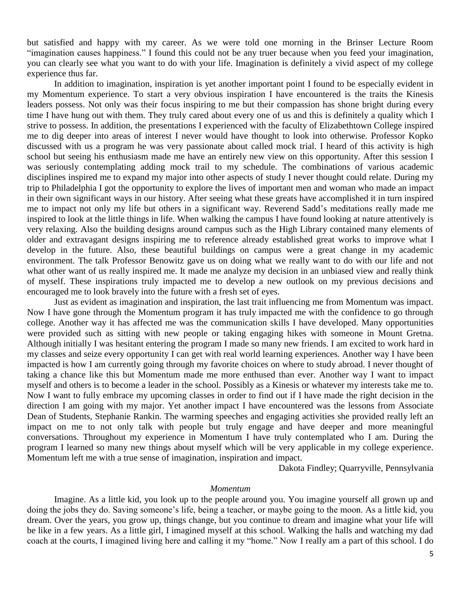but satisfied and happy with my career. As we were told one morning in the Brinser Lecture Room "imagination causes happiness." I found this could not be any truer because when you feed your imagination, you can clearly see what you want to do with your life. Imagination is definitely a vivid aspect of my college experience thus far.

In addition to imagination, inspiration is yet another important point I found to be especially evident in my Momentum experience. To start a very obvious inspiration I have encountered is the traits the Kinesis leaders possess. Not only was their focus inspiring to me but their compassion has shone bright during every time I have hung out with them. They truly cared about every one of us and this is definitely a quality which I strive to possess. In addition, the presentations I experienced with the faculty of Elizabethtown College inspired me to dig deeper into areas of interest I never would have thought to look into otherwise. Professor Kopko discussed with us a program he was very passionate about called mock trial. I heard of this activity is high school but seeing his enthusiasm made me have an entirely new view on this opportunity. After this session I was seriously contemplating adding mock trail to my schedule. The combinations of various academic disciplines inspired me to expand my major into other aspects of study I never thought could relate. During my trip to Philadelphia I got the opportunity to explore the lives of important men and woman who made an impact in their own significant ways in our history. After seeing what these greats have accomplished it in turn inspired me to impact not only my life but others in a significant way. Reverend Sadd's meditations really made me inspired to look at the little things in life. When walking the campus I have found looking at nature attentively is very relaxing. Also the building designs around campus such as the High Library contained many elements of older and extravagant designs inspiring me to reference already established great works to improve what I develop in the future. Also, these beautiful buildings on campus were a great change in my academic environment. The talk Professor Benowitz gave us on doing what we really want to do with our life and not what other want of us really inspired me. It made me analyze my decision in an unbiased view and really think of myself. These inspirations truly impacted me to develop a new outlook on my previous decisions and encouraged me to look bravely into the future with a fresh set of eyes.

Just as evident as imagination and inspiration, the last trait influencing me from Momentum was impact. Now I have gone through the Momentum program it has truly impacted me with the confidence to go through college. Another way it has affected me was the communication skills I have developed. Many opportunities were provided such as sitting with new people or taking engaging hikes with someone in Mount Gretna. Although initially I was hesitant entering the program I made so many new friends. I am excited to work hard in my classes and seize every opportunity I can get with real world learning experiences. Another way I have been impacted is how I am currently going through my favorite choices on where to study abroad. I never thought of taking a chance like this but Momentum made me more enthused than ever. Another way I want to impact myself and others is to become a leader in the school. Possibly as a Kinesis or whatever my interests take me to. Now I want to fully embrace my upcoming classes in order to find out if I have made the right decision in the direction I am going with my major. Yet another impact I have encountered was the lessons from Associate Dean of Students, Stephanie Rankin. The warming speeches and engaging activities she provided really left an impact on me to not only talk with people but truly engage and have deeper and more meaningful conversations. Throughout my experience in Momentum I have truly contemplated who I am. During the program I learned so many new things about myself which will be very applicable in my college experience. Momentum left me with a true sense of imagination, inspiration and impact.

Dakota Findley; Quarryville, Pennsylvania

#### *Momentum*

Imagine. As a little kid, you look up to the people around you. You imagine yourself all grown up and doing the jobs they do. Saving someone's life, being a teacher, or maybe going to the moon. As a little kid, you dream. Over the years, you grow up, things change, but you continue to dream and imagine what your life will be like in a few years. As a little girl, I imagined myself at this school. Walking the halls and watching my dad coach at the courts, I imagined living here and calling it my "home." Now I really am a part of this school. I do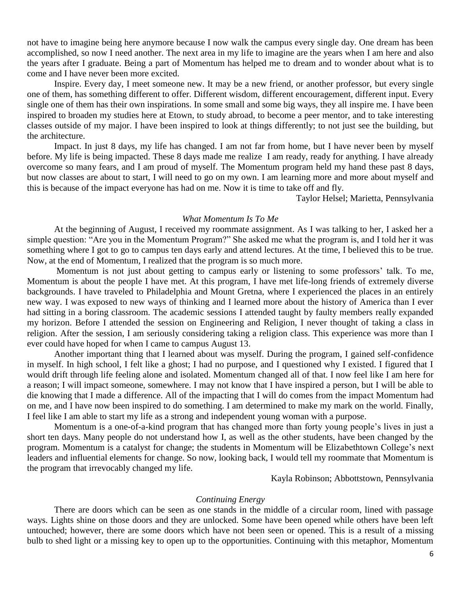not have to imagine being here anymore because I now walk the campus every single day. One dream has been accomplished, so now I need another. The next area in my life to imagine are the years when I am here and also the years after I graduate. Being a part of Momentum has helped me to dream and to wonder about what is to come and I have never been more excited.

Inspire. Every day, I meet someone new. It may be a new friend, or another professor, but every single one of them, has something different to offer. Different wisdom, different encouragement, different input. Every single one of them has their own inspirations. In some small and some big ways, they all inspire me. I have been inspired to broaden my studies here at Etown, to study abroad, to become a peer mentor, and to take interesting classes outside of my major. I have been inspired to look at things differently; to not just see the building, but the architecture.

Impact. In just 8 days, my life has changed. I am not far from home, but I have never been by myself before. My life is being impacted. These 8 days made me realize I am ready, ready for anything. I have already overcome so many fears, and I am proud of myself. The Momentum program held my hand these past 8 days, but now classes are about to start, I will need to go on my own. I am learning more and more about myself and this is because of the impact everyone has had on me. Now it is time to take off and fly.

Taylor Helsel; Marietta, Pennsylvania

# *What Momentum Is To Me*

At the beginning of August, I received my roommate assignment. As I was talking to her, I asked her a simple question: "Are you in the Momentum Program?" She asked me what the program is, and I told her it was something where I got to go to campus ten days early and attend lectures. At the time, I believed this to be true. Now, at the end of Momentum, I realized that the program is so much more.

Momentum is not just about getting to campus early or listening to some professors' talk. To me, Momentum is about the people I have met. At this program, I have met life-long friends of extremely diverse backgrounds. I have traveled to Philadelphia and Mount Gretna, where I experienced the places in an entirely new way. I was exposed to new ways of thinking and I learned more about the history of America than I ever had sitting in a boring classroom. The academic sessions I attended taught by faulty members really expanded my horizon. Before I attended the session on Engineering and Religion, I never thought of taking a class in religion. After the session, I am seriously considering taking a religion class. This experience was more than I ever could have hoped for when I came to campus August 13.

Another important thing that I learned about was myself. During the program, I gained self-confidence in myself. In high school, I felt like a ghost; I had no purpose, and I questioned why I existed. I figured that I would drift through life feeling alone and isolated. Momentum changed all of that. I now feel like I am here for a reason; I will impact someone, somewhere. I may not know that I have inspired a person, but I will be able to die knowing that I made a difference. All of the impacting that I will do comes from the impact Momentum had on me, and I have now been inspired to do something. I am determined to make my mark on the world. Finally, I feel like I am able to start my life as a strong and independent young woman with a purpose.

Momentum is a one-of-a-kind program that has changed more than forty young people's lives in just a short ten days. Many people do not understand how I, as well as the other students, have been changed by the program. Momentum is a catalyst for change; the students in Momentum will be Elizabethtown College's next leaders and influential elements for change. So now, looking back, I would tell my roommate that Momentum is the program that irrevocably changed my life.

Kayla Robinson; Abbottstown, Pennsylvania

#### *Continuing Energy*

There are doors which can be seen as one stands in the middle of a circular room, lined with passage ways. Lights shine on those doors and they are unlocked. Some have been opened while others have been left untouched; however, there are some doors which have not been seen or opened. This is a result of a missing bulb to shed light or a missing key to open up to the opportunities. Continuing with this metaphor, Momentum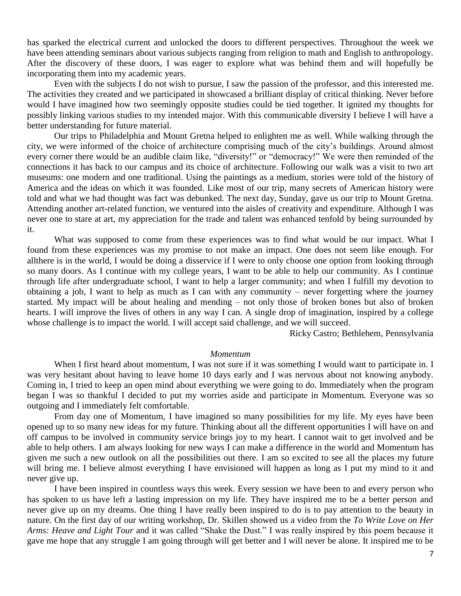has sparked the electrical current and unlocked the doors to different perspectives. Throughout the week we have been attending seminars about various subjects ranging from religion to math and English to anthropology. After the discovery of these doors, I was eager to explore what was behind them and will hopefully be incorporating them into my academic years.

Even with the subjects I do not wish to pursue, I saw the passion of the professor, and this interested me. The activities they created and we participated in showcased a brilliant display of critical thinking. Never before would I have imagined how two seemingly opposite studies could be tied together. It ignited my thoughts for possibly linking various studies to my intended major. With this communicable diversity I believe I will have a better understanding for future material.

Our trips to Philadelphia and Mount Gretna helped to enlighten me as well. While walking through the city, we were informed of the choice of architecture comprising much of the city's buildings. Around almost every corner there would be an audible claim like, "diversity!" or "democracy!" We were then reminded of the connections it has back to our campus and its choice of architecture. Following our walk was a visit to two art museums: one modern and one traditional. Using the paintings as a medium, stories were told of the history of America and the ideas on which it was founded. Like most of our trip, many secrets of American history were told and what we had thought was fact was debunked. The next day, Sunday, gave us our trip to Mount Gretna. Attending another art-related function, we ventured into the aisles of creativity and expenditure. Although I was never one to stare at art, my appreciation for the trade and talent was enhanced tenfold by being surrounded by it.

What was supposed to come from these experiences was to find what would be our impact. What I found from these experiences was my promise to not make an impact. One does not seem like enough. For allthere is in the world, I would be doing a disservice if I were to only choose one option from looking through so many doors. As I continue with my college years, I want to be able to help our community. As I continue through life after undergraduate school, I want to help a larger community; and when I fulfill my devotion to obtaining a job, I want to help as much as I can with any community – never forgetting where the journey started. My impact will be about healing and mending – not only those of broken bones but also of broken hearts. I will improve the lives of others in any way I can. A single drop of imagination, inspired by a college whose challenge is to impact the world. I will accept said challenge, and we will succeed.

Ricky Castro; Bethlehem, Pennsylvania

#### *Momentum*

When I first heard about momentum, I was not sure if it was something I would want to participate in. I was very hesitant about having to leave home 10 days early and I was nervous about not knowing anybody. Coming in, I tried to keep an open mind about everything we were going to do. Immediately when the program began I was so thankful I decided to put my worries aside and participate in Momentum. Everyone was so outgoing and I immediately felt comfortable.

From day one of Momentum, I have imagined so many possibilities for my life. My eyes have been opened up to so many new ideas for my future. Thinking about all the different opportunities I will have on and off campus to be involved in community service brings joy to my heart. I cannot wait to get involved and be able to help others. I am always looking for new ways I can make a difference in the world and Momentum has given me such a new outlook on all the possibilities out there. I am so excited to see all the places my future will bring me. I believe almost everything I have envisioned will happen as long as I put my mind to it and never give up.

I have been inspired in countless ways this week. Every session we have been to and every person who has spoken to us have left a lasting impression on my life. They have inspired me to be a better person and never give up on my dreams. One thing I have really been inspired to do is to pay attention to the beauty in nature. On the first day of our writing workshop, Dr. Skillen showed us a video from the *To Write Love on Her Arms: Heave and Light Tour* and it was called "Shake the Dust." I was really inspired by this poem because it gave me hope that any struggle I am going through will get better and I will never be alone. It inspired me to be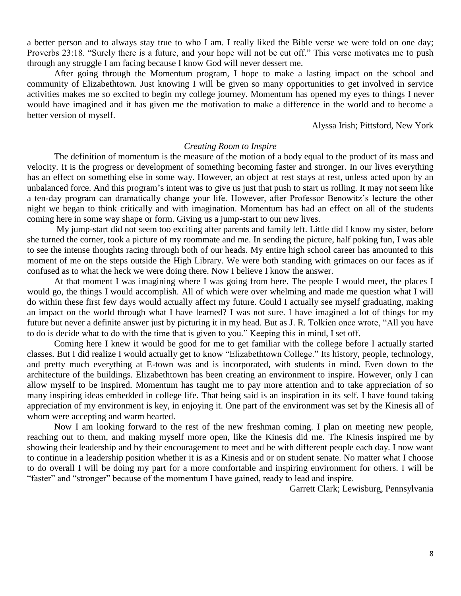a better person and to always stay true to who I am. I really liked the Bible verse we were told on one day; Proverbs 23:18. "Surely there is a future, and your hope will not be cut off." This verse motivates me to push through any struggle I am facing because I know God will never dessert me.

After going through the Momentum program, I hope to make a lasting impact on the school and community of Elizabethtown. Just knowing I will be given so many opportunities to get involved in service activities makes me so excited to begin my college journey. Momentum has opened my eyes to things I never would have imagined and it has given me the motivation to make a difference in the world and to become a better version of myself.

Alyssa Irish; Pittsford, New York

# *Creating Room to Inspire*

The definition of momentum is the measure of the motion of a body equal to the product of its mass and velocity. It is the progress or development of something becoming faster and stronger. In our lives everything has an effect on something else in some way. However, an object at rest stays at rest, [unless acted upon by an](http://www.physicsclassroom.com/class/newtlaws/u2l1d.cfm#balanced)  [unbalanced force.](http://www.physicsclassroom.com/class/newtlaws/u2l1d.cfm#balanced) And this program's intent was to give us just that push to start us rolling. It may not seem like a ten-day program can dramatically change your life. However, after Professor Benowitz's lecture the other night we began to think critically and with imagination. Momentum has had an effect on all of the students coming here in some way shape or form. Giving us a jump-start to our new lives.

My jump-start did not seem too exciting after parents and family left. Little did I know my sister, before she turned the corner, took a picture of my roommate and me. In sending the picture, half poking fun, I was able to see the intense thoughts racing through both of our heads. My entire high school career has amounted to this moment of me on the steps outside the High Library. We were both standing with grimaces on our faces as if confused as to what the heck we were doing there. Now I believe I know the answer.

At that moment I was imagining where I was going from here. The people I would meet, the places I would go, the things I would accomplish. All of which were over whelming and made me question what I will do within these first few days would actually affect my future. Could I actually see myself graduating, making an impact on the world through what I have learned? I was not sure. I have imagined a lot of things for my future but never a definite answer just by picturing it in my head. But as J. R. Tolkien once wrote, "All you have to do is decide what to do with the time that is given to you." Keeping this in mind, I set off.

Coming here I knew it would be good for me to get familiar with the college before I actually started classes. But I did realize I would actually get to know "Elizabethtown College." Its history, people, technology, and pretty much everything at E-town was and is incorporated, with students in mind. Even down to the architecture of the buildings. Elizabethtown has been creating an environment to inspire. However, only I can allow myself to be inspired. Momentum has taught me to pay more attention and to take appreciation of so many inspiring ideas embedded in college life. That being said is an inspiration in its self. I have found taking appreciation of my environment is key, in enjoying it. One part of the environment was set by the Kinesis all of whom were accepting and warm hearted.

Now I am looking forward to the rest of the new freshman coming. I plan on meeting new people, reaching out to them, and making myself more open, like the Kinesis did me. The Kinesis inspired me by showing their leadership and by their encouragement to meet and be with different people each day. I now want to continue in a leadership position whether it is as a Kinesis and or on student senate. No matter what I choose to do overall I will be doing my part for a more comfortable and inspiring environment for others. I will be "faster" and "stronger" because of the momentum I have gained, ready to lead and inspire.

Garrett Clark; Lewisburg, Pennsylvania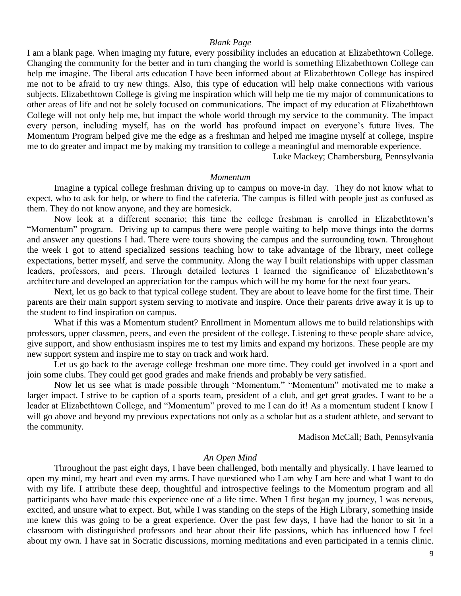#### *Blank Page*

I am a blank page. When imaging my future, every possibility includes an education at Elizabethtown College. Changing the community for the better and in turn changing the world is something Elizabethtown College can help me imagine. The liberal arts education I have been informed about at Elizabethtown College has inspired me not to be afraid to try new things. Also, this type of education will help make connections with various subjects. Elizabethtown College is giving me inspiration which will help me tie my major of communications to other areas of life and not be solely focused on communications. The impact of my education at Elizabethtown College will not only help me, but impact the whole world through my service to the community. The impact every person, including myself, has on the world has profound impact on everyone's future lives. The Momentum Program helped give me the edge as a freshman and helped me imagine myself at college, inspire me to do greater and impact me by making my transition to college a meaningful and memorable experience.

Luke Mackey; Chambersburg, Pennsylvania

#### *Momentum*

Imagine a typical college freshman driving up to campus on move-in day. They do not know what to expect, who to ask for help, or where to find the cafeteria. The campus is filled with people just as confused as them. They do not know anyone, and they are homesick.

Now look at a different scenario; this time the college freshman is enrolled in Elizabethtown's "Momentum" program. Driving up to campus there were people waiting to help move things into the dorms and answer any questions I had. There were tours showing the campus and the surrounding town. Throughout the week I got to attend specialized sessions teaching how to take advantage of the library, meet college expectations, better myself, and serve the community. Along the way I built relationships with upper classman leaders, professors, and peers. Through detailed lectures I learned the significance of Elizabethtown's architecture and developed an appreciation for the campus which will be my home for the next four years.

Next, let us go back to that typical college student. They are about to leave home for the first time. Their parents are their main support system serving to motivate and inspire. Once their parents drive away it is up to the student to find inspiration on campus.

What if this was a Momentum student? Enrollment in Momentum allows me to build relationships with professors, upper classmen, peers, and even the president of the college. Listening to these people share advice, give support, and show enthusiasm inspires me to test my limits and expand my horizons. These people are my new support system and inspire me to stay on track and work hard.

Let us go back to the average college freshman one more time. They could get involved in a sport and join some clubs. They could get good grades and make friends and probably be very satisfied.

Now let us see what is made possible through "Momentum." "Momentum" motivated me to make a larger impact. I strive to be caption of a sports team, president of a club, and get great grades. I want to be a leader at Elizabethtown College, and "Momentum" proved to me I can do it! As a momentum student I know I will go above and beyond my previous expectations not only as a scholar but as a student athlete, and servant to the community.

Madison McCall; Bath, Pennsylvania

#### *An Open Mind*

Throughout the past eight days, I have been challenged, both mentally and physically. I have learned to open my mind, my heart and even my arms. I have questioned who I am why I am here and what I want to do with my life. I attribute these deep, thoughtful and introspective feelings to the Momentum program and all participants who have made this experience one of a life time. When I first began my journey, I was nervous, excited, and unsure what to expect. But, while I was standing on the steps of the High Library, something inside me knew this was going to be a great experience. Over the past few days, I have had the honor to sit in a classroom with distinguished professors and hear about their life passions, which has influenced how I feel about my own. I have sat in Socratic discussions, morning meditations and even participated in a tennis clinic.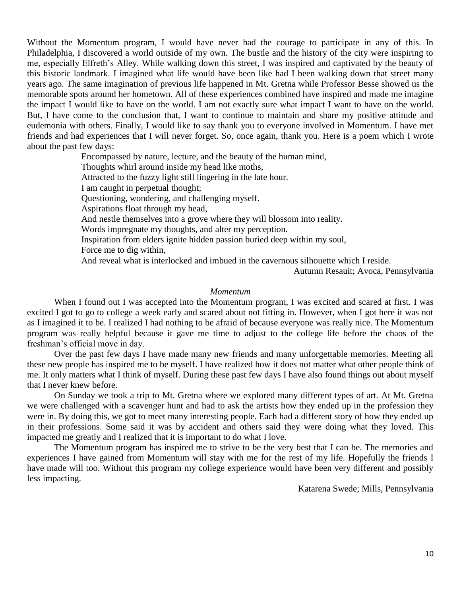Without the Momentum program, I would have never had the courage to participate in any of this. In Philadelphia, I discovered a world outside of my own. The bustle and the history of the city were inspiring to me, especially Elfreth's Alley. While walking down this street, I was inspired and captivated by the beauty of this historic landmark. I imagined what life would have been like had I been walking down that street many years ago. The same imagination of previous life happened in Mt. Gretna while Professor Besse showed us the memorable spots around her hometown. All of these experiences combined have inspired and made me imagine the impact I would like to have on the world. I am not exactly sure what impact I want to have on the world. But, I have come to the conclusion that, I want to continue to maintain and share my positive attitude and eudemonia with others. Finally, I would like to say thank you to everyone involved in Momentum. I have met friends and had experiences that I will never forget. So, once again, thank you. Here is a poem which I wrote about the past few days:

> Encompassed by nature, lecture, and the beauty of the human mind, Thoughts whirl around inside my head like moths, Attracted to the fuzzy light still lingering in the late hour. I am caught in perpetual thought; Questioning, wondering, and challenging myself. Aspirations float through my head, And nestle themselves into a grove where they will blossom into reality. Words impregnate my thoughts, and alter my perception. Inspiration from elders ignite hidden passion buried deep within my soul, Force me to dig within, And reveal what is interlocked and imbued in the cavernous silhouette which I reside.

> > Autumn Resauit; Avoca, Pennsylvania

# *Momentum*

When I found out I was accepted into the Momentum program, I was excited and scared at first. I was excited I got to go to college a week early and scared about not fitting in. However, when I got here it was not as I imagined it to be. I realized I had nothing to be afraid of because everyone was really nice. The Momentum program was really helpful because it gave me time to adjust to the college life before the chaos of the freshman's official move in day.

Over the past few days I have made many new friends and many unforgettable memories. Meeting all these new people has inspired me to be myself. I have realized how it does not matter what other people think of me. It only matters what I think of myself. During these past few days I have also found things out about myself that I never knew before.

On Sunday we took a trip to Mt. Gretna where we explored many different types of art. At Mt. Gretna we were challenged with a scavenger hunt and had to ask the artists how they ended up in the profession they were in. By doing this, we got to meet many interesting people. Each had a different story of how they ended up in their professions. Some said it was by accident and others said they were doing what they loved. This impacted me greatly and I realized that it is important to do what I love.

The Momentum program has inspired me to strive to be the very best that I can be. The memories and experiences I have gained from Momentum will stay with me for the rest of my life. Hopefully the friends I have made will too. Without this program my college experience would have been very different and possibly less impacting.

Katarena Swede; Mills, Pennsylvania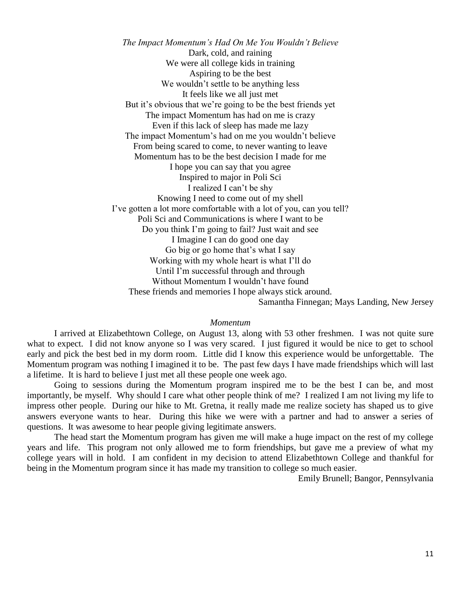*The Impact Momentum's Had On Me You Wouldn't Believe* Dark, cold, and raining We were all college kids in training Aspiring to be the best We wouldn't settle to be anything less It feels like we all just met But it's obvious that we're going to be the best friends yet The impact Momentum has had on me is crazy Even if this lack of sleep has made me lazy The impact Momentum's had on me you wouldn't believe From being scared to come, to never wanting to leave Momentum has to be the best decision I made for me I hope you can say that you agree Inspired to major in Poli Sci I realized I can't be shy Knowing I need to come out of my shell I've gotten a lot more comfortable with a lot of you, can you tell? Poli Sci and Communications is where I want to be Do you think I'm going to fail? Just wait and see I Imagine I can do good one day Go big or go home that's what I say Working with my whole heart is what I'll do Until I'm successful through and through Without Momentum I wouldn't have found These friends and memories I hope always stick around. Samantha Finnegan; Mays Landing, New Jersey

#### *Momentum*

I arrived at Elizabethtown College, on August 13, along with 53 other freshmen. I was not quite sure what to expect. I did not know anyone so I was very scared. I just figured it would be nice to get to school early and pick the best bed in my dorm room. Little did I know this experience would be unforgettable. The Momentum program was nothing I imagined it to be. The past few days I have made friendships which will last a lifetime. It is hard to believe I just met all these people one week ago.

Going to sessions during the Momentum program inspired me to be the best I can be, and most importantly, be myself. Why should I care what other people think of me? I realized I am not living my life to impress other people. During our hike to Mt. Gretna, it really made me realize society has shaped us to give answers everyone wants to hear. During this hike we were with a partner and had to answer a series of questions. It was awesome to hear people giving legitimate answers.

The head start the Momentum program has given me will make a huge impact on the rest of my college years and life. This program not only allowed me to form friendships, but gave me a preview of what my college years will in hold. I am confident in my decision to attend Elizabethtown College and thankful for being in the Momentum program since it has made my transition to college so much easier.

Emily Brunell; Bangor, Pennsylvania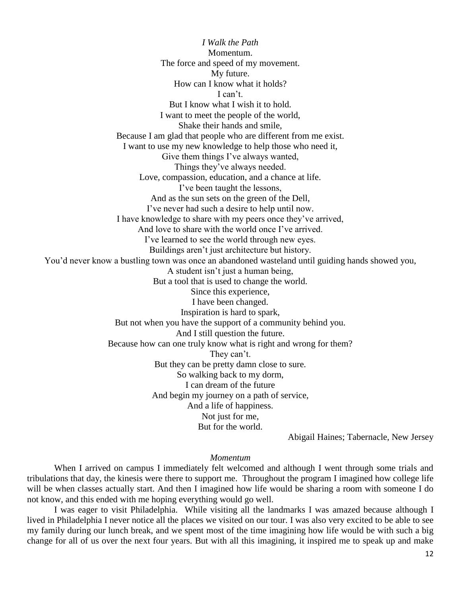*I Walk the Path* Momentum. The force and speed of my movement. My future. How can I know what it holds? I can't. But I know what I wish it to hold. I want to meet the people of the world, Shake their hands and smile, Because I am glad that people who are different from me exist. I want to use my new knowledge to help those who need it, Give them things I've always wanted, Things they've always needed. Love, compassion, education, and a chance at life. I've been taught the lessons, And as the sun sets on the green of the Dell, I've never had such a desire to help until now. I have knowledge to share with my peers once they've arrived, And love to share with the world once I've arrived. I've learned to see the world through new eyes. Buildings aren't just architecture but history. You'd never know a bustling town was once an abandoned wasteland until guiding hands showed you, A student isn't just a human being, But a tool that is used to change the world. Since this experience, I have been changed. Inspiration is hard to spark, But not when you have the support of a community behind you. And I still question the future. Because how can one truly know what is right and wrong for them? They can't. But they can be pretty damn close to sure. So walking back to my dorm, I can dream of the future And begin my journey on a path of service, And a life of happiness. Not just for me, But for the world.

Abigail Haines; Tabernacle, New Jersey

#### *Momentum*

When I arrived on campus I immediately felt welcomed and although I went through some trials and tribulations that day, the kinesis were there to support me. Throughout the program I imagined how college life will be when classes actually start. And then I imagined how life would be sharing a room with someone I do not know, and this ended with me hoping everything would go well.

I was eager to visit Philadelphia. While visiting all the landmarks I was amazed because although I lived in Philadelphia I never notice all the places we visited on our tour. I was also very excited to be able to see my family during our lunch break, and we spent most of the time imagining how life would be with such a big change for all of us over the next four years. But with all this imagining, it inspired me to speak up and make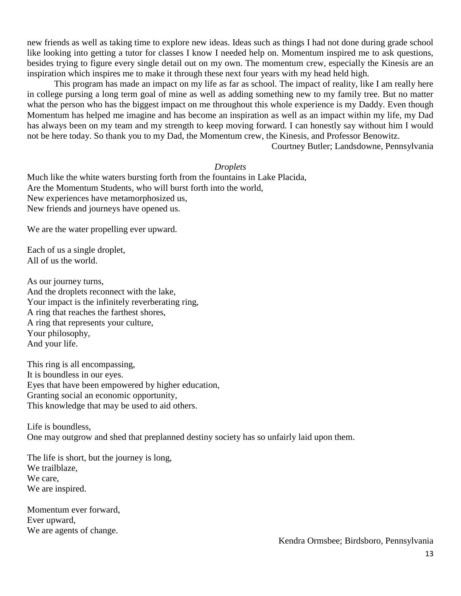new friends as well as taking time to explore new ideas. Ideas such as things I had not done during grade school like looking into getting a tutor for classes I know I needed help on. Momentum inspired me to ask questions, besides trying to figure every single detail out on my own. The momentum crew, especially the Kinesis are an inspiration which inspires me to make it through these next four years with my head held high.

This program has made an impact on my life as far as school. The impact of reality, like I am really here in college pursing a long term goal of mine as well as adding something new to my family tree. But no matter what the person who has the biggest impact on me throughout this whole experience is my Daddy. Even though Momentum has helped me imagine and has become an inspiration as well as an impact within my life, my Dad has always been on my team and my strength to keep moving forward. I can honestly say without him I would not be here today. So thank you to my Dad, the Momentum crew, the Kinesis, and Professor Benowitz.

Courtney Butler; Landsdowne, Pennsylvania

# *Droplets*

Much like the white waters bursting forth from the fountains in Lake Placida, Are the Momentum Students, who will burst forth into the world, New experiences have metamorphosized us, New friends and journeys have opened us.

We are the water propelling ever upward.

Each of us a single droplet, All of us the world.

As our journey turns, And the droplets reconnect with the lake, Your impact is the infinitely reverberating ring, A ring that reaches the farthest shores, A ring that represents your culture, Your philosophy, And your life.

This ring is all encompassing, It is boundless in our eyes. Eyes that have been empowered by higher education, Granting social an economic opportunity, This knowledge that may be used to aid others.

Life is boundless, One may outgrow and shed that preplanned destiny society has so unfairly laid upon them.

The life is short, but the journey is long, We trailblaze, We care, We are inspired.

Momentum ever forward, Ever upward, We are agents of change.

Kendra Ormsbee; Birdsboro, Pennsylvania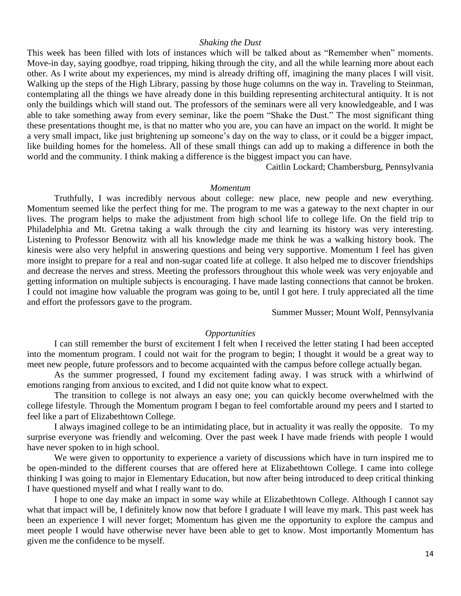#### *Shaking the Dust*

This week has been filled with lots of instances which will be talked about as "Remember when" moments. Move-in day, saying goodbye, road tripping, hiking through the city, and all the while learning more about each other. As I write about my experiences, my mind is already drifting off, imagining the many places I will visit. Walking up the steps of the High Library, passing by those huge columns on the way in. Traveling to Steinman, contemplating all the things we have already done in this building representing architectural antiquity. It is not only the buildings which will stand out. The professors of the seminars were all very knowledgeable, and I was able to take something away from every seminar, like the poem "Shake the Dust." The most significant thing these presentations thought me, is that no matter who you are, you can have an impact on the world. It might be a very small impact, like just brightening up someone's day on the way to class, or it could be a bigger impact, like building homes for the homeless. All of these small things can add up to making a difference in both the world and the community. I think making a difference is the biggest impact you can have.

Caitlin Lockard; Chambersburg, Pennsylvania

### *Momentum*

Truthfully, I was incredibly nervous about college: new place, new people and new everything. Momentum seemed like the perfect thing for me. The program to me was a gateway to the next chapter in our lives. The program helps to make the adjustment from high school life to college life. On the field trip to Philadelphia and Mt. Gretna taking a walk through the city and learning its history was very interesting. Listening to Professor Benowitz with all his knowledge made me think he was a walking history book. The kinesis were also very helpful in answering questions and being very supportive. Momentum I feel has given more insight to prepare for a real and non-sugar coated life at college. It also helped me to discover friendships and decrease the nerves and stress. Meeting the professors throughout this whole week was very enjoyable and getting information on multiple subjects is encouraging. I have made lasting connections that cannot be broken. I could not imagine how valuable the program was going to be, until I got here. I truly appreciated all the time and effort the professors gave to the program.

Summer Musser; Mount Wolf, Pennsylvania

#### *Opportunities*

I can still remember the burst of excitement I felt when I received the letter stating I had been accepted into the momentum program. I could not wait for the program to begin; I thought it would be a great way to meet new people, future professors and to become acquainted with the campus before college actually began.

As the summer progressed, I found my excitement fading away. I was struck with a whirlwind of emotions ranging from anxious to excited, and I did not quite know what to expect.

The transition to college is not always an easy one; you can quickly become overwhelmed with the college lifestyle. Through the Momentum program I began to feel comfortable around my peers and I started to feel like a part of Elizabethtown College.

I always imagined college to be an intimidating place, but in actuality it was really the opposite. To my surprise everyone was friendly and welcoming. Over the past week I have made friends with people I would have never spoken to in high school.

We were given to opportunity to experience a variety of discussions which have in turn inspired me to be open-minded to the different courses that are offered here at Elizabethtown College. I came into college thinking I was going to major in Elementary Education, but now after being introduced to deep critical thinking I have questioned myself and what I really want to do.

I hope to one day make an impact in some way while at Elizabethtown College. Although I cannot say what that impact will be, I definitely know now that before I graduate I will leave my mark. This past week has been an experience I will never forget; Momentum has given me the opportunity to explore the campus and meet people I would have otherwise never have been able to get to know. Most importantly Momentum has given me the confidence to be myself.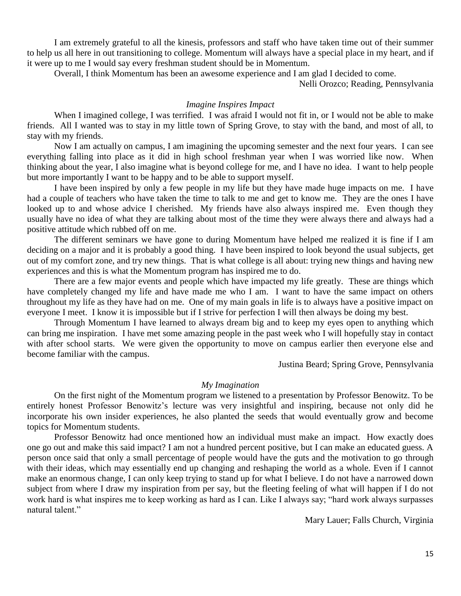I am extremely grateful to all the kinesis, professors and staff who have taken time out of their summer to help us all here in out transitioning to college. Momentum will always have a special place in my heart, and if it were up to me I would say every freshman student should be in Momentum.

Overall, I think Momentum has been an awesome experience and I am glad I decided to come.

Nelli Orozco; Reading, Pennsylvania

#### *Imagine Inspires Impact*

When I imagined college, I was terrified. I was afraid I would not fit in, or I would not be able to make friends. All I wanted was to stay in my little town of Spring Grove, to stay with the band, and most of all, to stay with my friends.

Now I am actually on campus, I am imagining the upcoming semester and the next four years. I can see everything falling into place as it did in high school freshman year when I was worried like now. When thinking about the year, I also imagine what is beyond college for me, and I have no idea. I want to help people but more importantly I want to be happy and to be able to support myself.

I have been inspired by only a few people in my life but they have made huge impacts on me. I have had a couple of teachers who have taken the time to talk to me and get to know me. They are the ones I have looked up to and whose advice I cherished. My friends have also always inspired me. Even though they usually have no idea of what they are talking about most of the time they were always there and always had a positive attitude which rubbed off on me.

The different seminars we have gone to during Momentum have helped me realized it is fine if I am deciding on a major and it is probably a good thing. I have been inspired to look beyond the usual subjects, get out of my comfort zone, and try new things. That is what college is all about: trying new things and having new experiences and this is what the Momentum program has inspired me to do.

There are a few major events and people which have impacted my life greatly. These are things which have completely changed my life and have made me who I am. I want to have the same impact on others throughout my life as they have had on me. One of my main goals in life is to always have a positive impact on everyone I meet. I know it is impossible but if I strive for perfection I will then always be doing my best.

Through Momentum I have learned to always dream big and to keep my eyes open to anything which can bring me inspiration. I have met some amazing people in the past week who I will hopefully stay in contact with after school starts. We were given the opportunity to move on campus earlier then everyone else and become familiar with the campus.

Justina Beard; Spring Grove, Pennsylvania

# *My Imagination*

On the first night of the Momentum program we listened to a presentation by Professor Benowitz. To be entirely honest Professor Benowitz's lecture was very insightful and inspiring, because not only did he incorporate his own insider experiences, he also planted the seeds that would eventually grow and become topics for Momentum students.

Professor Benowitz had once mentioned how an individual must make an impact. How exactly does one go out and make this said impact? I am not a hundred percent positive, but I can make an educated guess. A person once said that only a small percentage of people would have the guts and the motivation to go through with their ideas, which may essentially end up changing and reshaping the world as a whole. Even if I cannot make an enormous change, I can only keep trying to stand up for what I believe. I do not have a narrowed down subject from where I draw my inspiration from per say, but the fleeting feeling of what will happen if I do not work hard is what inspires me to keep working as hard as I can. Like I always say; "hard work always surpasses natural talent."

Mary Lauer; Falls Church, Virginia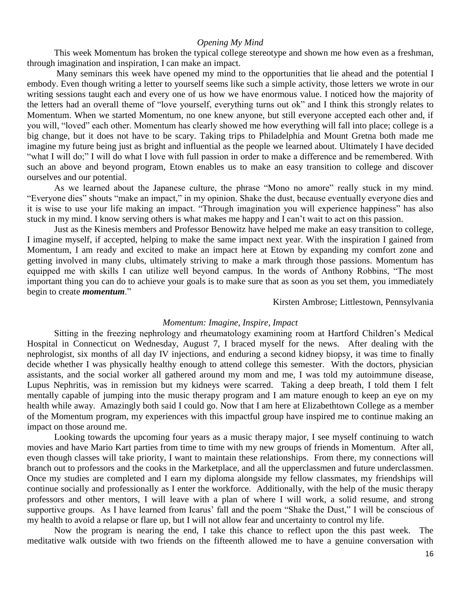#### *Opening My Mind*

This week Momentum has broken the typical college stereotype and shown me how even as a freshman, through imagination and inspiration, I can make an impact.

Many seminars this week have opened my mind to the opportunities that lie ahead and the potential I embody. Even though writing a letter to yourself seems like such a simple activity, those letters we wrote in our writing sessions taught each and every one of us how we have enormous value. I noticed how the majority of the letters had an overall theme of "love yourself, everything turns out ok" and I think this strongly relates to Momentum. When we started Momentum, no one knew anyone, but still everyone accepted each other and, if you will, "loved" each other. Momentum has clearly showed me how everything will fall into place; college is a big change, but it does not have to be scary. Taking trips to Philadelphia and Mount Gretna both made me imagine my future being just as bright and influential as the people we learned about. Ultimately I have decided "what I will do;" I will do what I love with full passion in order to make a difference and be remembered. With such an above and beyond program, Etown enables us to make an easy transition to college and discover ourselves and our potential.

As we learned about the Japanese culture, the phrase "Mono no amore" really stuck in my mind. "Everyone dies" shouts "make an impact," in my opinion. Shake the dust, because eventually everyone dies and it is wise to use your life making an impact. "Through imagination you will experience happiness" has also stuck in my mind. I know serving others is what makes me happy and I can't wait to act on this passion.

Just as the Kinesis members and Professor Benowitz have helped me make an easy transition to college, I imagine myself, if accepted, helping to make the same impact next year. With the inspiration I gained from Momentum, I am ready and excited to make an impact here at Etown by expanding my comfort zone and getting involved in many clubs, ultimately striving to make a mark through those passions. Momentum has equipped me with skills I can utilize well beyond campus. In the words of Anthony Robbins, "The most important thing you can do to achieve your goals is to make sure that as soon as you set them, you immediately begin to create *momentum*."

Kirsten Ambrose; Littlestown, Pennsylvania

# *Momentum: Imagine, Inspire, Impact*

Sitting in the freezing nephrology and rheumatology examining room at Hartford Children's Medical Hospital in Connecticut on Wednesday, August 7, I braced myself for the news. After dealing with the nephrologist, six months of all day IV injections, and enduring a second kidney biopsy, it was time to finally decide whether I was physically healthy enough to attend college this semester. With the doctors, physician assistants, and the social worker all gathered around my mom and me, I was told my autoimmune disease, Lupus Nephritis, was in remission but my kidneys were scarred. Taking a deep breath, I told them I felt mentally capable of jumping into the music therapy program and I am mature enough to keep an eye on my health while away. Amazingly both said I could go. Now that I am here at Elizabethtown College as a member of the Momentum program, my experiences with this impactful group have inspired me to continue making an impact on those around me.

Looking towards the upcoming four years as a music therapy major, I see myself continuing to watch movies and have Mario Kart parties from time to time with my new groups of friends in Momentum. After all, even though classes will take priority, I want to maintain these relationships. From there, my connections will branch out to professors and the cooks in the Marketplace, and all the upperclassmen and future underclassmen. Once my studies are completed and I earn my diploma alongside my fellow classmates, my friendships will continue socially and professionally as I enter the workforce. Additionally, with the help of the music therapy professors and other mentors, I will leave with a plan of where I will work, a solid resume, and strong supportive groups. As I have learned from Icarus' fall and the poem "Shake the Dust," I will be conscious of my health to avoid a relapse or flare up, but I will not allow fear and uncertainty to control my life.

Now the program is nearing the end, I take this chance to reflect upon the this past week. The meditative walk outside with two friends on the fifteenth allowed me to have a genuine conversation with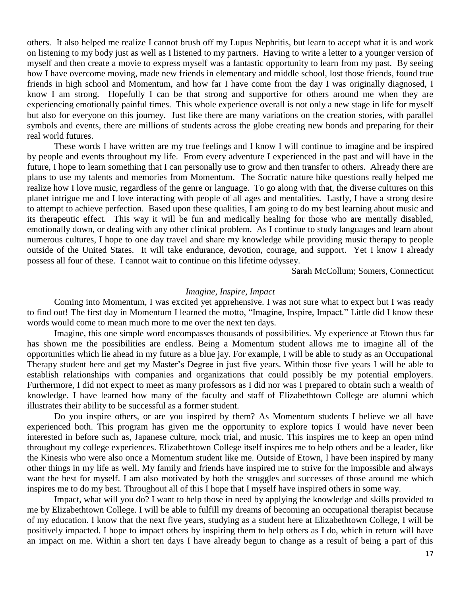others. It also helped me realize I cannot brush off my Lupus Nephritis, but learn to accept what it is and work on listening to my body just as well as I listened to my partners. Having to write a letter to a younger version of myself and then create a movie to express myself was a fantastic opportunity to learn from my past. By seeing how I have overcome moving, made new friends in elementary and middle school, lost those friends, found true friends in high school and Momentum, and how far I have come from the day I was originally diagnosed, I know I am strong. Hopefully I can be that strong and supportive for others around me when they are experiencing emotionally painful times. This whole experience overall is not only a new stage in life for myself but also for everyone on this journey. Just like there are many variations on the creation stories, with parallel symbols and events, there are millions of students across the globe creating new bonds and preparing for their real world futures.

These words I have written are my true feelings and I know I will continue to imagine and be inspired by people and events throughout my life. From every adventure I experienced in the past and will have in the future, I hope to learn something that I can personally use to grow and then transfer to others. Already there are plans to use my talents and memories from Momentum. The Socratic nature hike questions really helped me realize how I love music, regardless of the genre or language. To go along with that, the diverse cultures on this planet intrigue me and I love interacting with people of all ages and mentalities. Lastly, I have a strong desire to attempt to achieve perfection. Based upon these qualities, I am going to do my best learning about music and its therapeutic effect. This way it will be fun and medically healing for those who are mentally disabled, emotionally down, or dealing with any other clinical problem. As I continue to study languages and learn about numerous cultures, I hope to one day travel and share my knowledge while providing music therapy to people outside of the United States. It will take endurance, devotion, courage, and support. Yet I know I already possess all four of these. I cannot wait to continue on this lifetime odyssey.

Sarah McCollum; Somers, Connecticut

#### *Imagine, Inspire, Impact*

Coming into Momentum, I was excited yet apprehensive. I was not sure what to expect but I was ready to find out! The first day in Momentum I learned the motto, "Imagine, Inspire, Impact." Little did I know these words would come to mean much more to me over the next ten days.

Imagine, this one simple word encompasses thousands of possibilities. My experience at Etown thus far has shown me the possibilities are endless. Being a Momentum student allows me to imagine all of the opportunities which lie ahead in my future as a blue jay. For example, I will be able to study as an Occupational Therapy student here and get my Master's Degree in just five years. Within those five years I will be able to establish relationships with companies and organizations that could possibly be my potential employers. Furthermore, I did not expect to meet as many professors as I did nor was I prepared to obtain such a wealth of knowledge. I have learned how many of the faculty and staff of Elizabethtown College are alumni which illustrates their ability to be successful as a former student.

Do you inspire others, or are you inspired by them? As Momentum students I believe we all have experienced both. This program has given me the opportunity to explore topics I would have never been interested in before such as, Japanese culture, mock trial, and music. This inspires me to keep an open mind throughout my college experiences. Elizabethtown College itself inspires me to help others and be a leader, like the Kinesis who were also once a Momentum student like me. Outside of Etown, I have been inspired by many other things in my life as well. My family and friends have inspired me to strive for the impossible and always want the best for myself. I am also motivated by both the struggles and successes of those around me which inspires me to do my best. Throughout all of this I hope that I myself have inspired others in some way.

Impact, what will you do? I want to help those in need by applying the knowledge and skills provided to me by Elizabethtown College. I will be able to fulfill my dreams of becoming an occupational therapist because of my education. I know that the next five years, studying as a student here at Elizabethtown College, I will be positively impacted. I hope to impact others by inspiring them to help others as I do, which in return will have an impact on me. Within a short ten days I have already begun to change as a result of being a part of this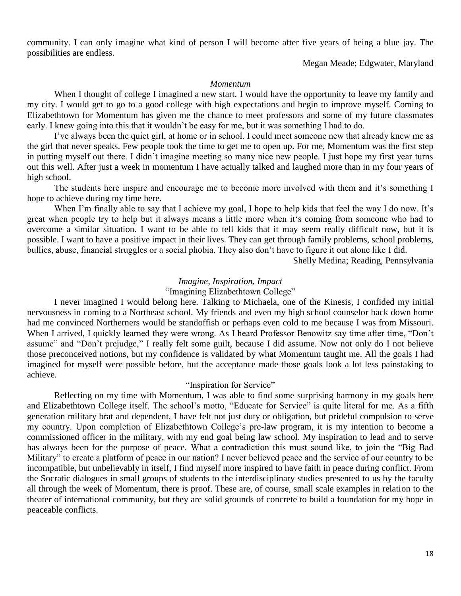community. I can only imagine what kind of person I will become after five years of being a blue jay. The possibilities are endless.

Megan Meade; Edgwater, Maryland

#### *Momentum*

When I thought of college I imagined a new start. I would have the opportunity to leave my family and my city. I would get to go to a good college with high expectations and begin to improve myself. Coming to Elizabethtown for Momentum has given me the chance to meet professors and some of my future classmates early. I knew going into this that it wouldn't be easy for me, but it was something I had to do.

I've always been the quiet girl, at home or in school. I could meet someone new that already knew me as the girl that never speaks. Few people took the time to get me to open up. For me, Momentum was the first step in putting myself out there. I didn't imagine meeting so many nice new people. I just hope my first year turns out this well. After just a week in momentum I have actually talked and laughed more than in my four years of high school.

The students here inspire and encourage me to become more involved with them and it's something I hope to achieve during my time here.

When I'm finally able to say that I achieve my goal, I hope to help kids that feel the way I do now. It's great when people try to help but it always means a little more when it's coming from someone who had to overcome a similar situation. I want to be able to tell kids that it may seem really difficult now, but it is possible. I want to have a positive impact in their lives. They can get through family problems, school problems, bullies, abuse, financial struggles or a social phobia. They also don't have to figure it out alone like I did.

Shelly Medina; Reading, Pennsylvania

# *Imagine, Inspiration, Impact*

# "Imagining Elizabethtown College"

I never imagined I would belong here. Talking to Michaela, one of the Kinesis, I confided my initial nervousness in coming to a Northeast school. My friends and even my high school counselor back down home had me convinced Northerners would be standoffish or perhaps even cold to me because I was from Missouri. When I arrived, I quickly learned they were wrong. As I heard Professor Benowitz say time after time, "Don't assume" and "Don't prejudge," I really felt some guilt, because I did assume. Now not only do I not believe those preconceived notions, but my confidence is validated by what Momentum taught me. All the goals I had imagined for myself were possible before, but the acceptance made those goals look a lot less painstaking to achieve.

# "Inspiration for Service"

Reflecting on my time with Momentum, I was able to find some surprising harmony in my goals here and Elizabethtown College itself. The school's motto, "Educate for Service" is quite literal for me. As a fifth generation military brat and dependent, I have felt not just duty or obligation, but prideful compulsion to serve my country. Upon completion of Elizabethtown College's pre-law program, it is my intention to become a commissioned officer in the military, with my end goal being law school. My inspiration to lead and to serve has always been for the purpose of peace. What a contradiction this must sound like, to join the "Big Bad Military" to create a platform of peace in our nation? I never believed peace and the service of our country to be incompatible, but unbelievably in itself, I find myself more inspired to have faith in peace during conflict. From the Socratic dialogues in small groups of students to the interdisciplinary studies presented to us by the faculty all through the week of Momentum, there is proof. These are, of course, small scale examples in relation to the theater of international community, but they are solid grounds of concrete to build a foundation for my hope in peaceable conflicts.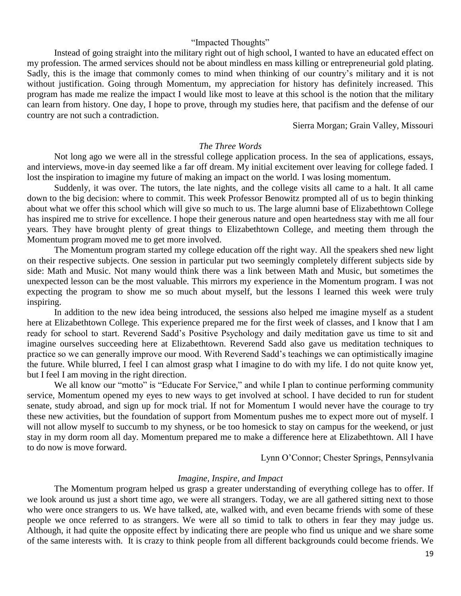# "Impacted Thoughts"

Instead of going straight into the military right out of high school, I wanted to have an educated effect on my profession. The armed services should not be about mindless en mass killing or entrepreneurial gold plating. Sadly, this is the image that commonly comes to mind when thinking of our country's military and it is not without justification. Going through Momentum, my appreciation for history has definitely increased. This program has made me realize the impact I would like most to leave at this school is the notion that the military can learn from history. One day, I hope to prove, through my studies here, that pacifism and the defense of our country are not such a contradiction.

Sierra Morgan; Grain Valley, Missouri

# *The Three Words*

Not long ago we were all in the stressful college application process. In the sea of applications, essays, and interviews, move-in day seemed like a far off dream. My initial excitement over leaving for college faded. I lost the inspiration to imagine my future of making an impact on the world. I was losing momentum.

Suddenly, it was over. The tutors, the late nights, and the college visits all came to a halt. It all came down to the big decision: where to commit. This week Professor Benowitz prompted all of us to begin thinking about what we offer this school which will give so much to us. The large alumni base of Elizabethtown College has inspired me to strive for excellence. I hope their generous nature and open heartedness stay with me all four years. They have brought plenty of great things to Elizabethtown College, and meeting them through the Momentum program moved me to get more involved.

The Momentum program started my college education off the right way. All the speakers shed new light on their respective subjects. One session in particular put two seemingly completely different subjects side by side: Math and Music. Not many would think there was a link between Math and Music, but sometimes the unexpected lesson can be the most valuable. This mirrors my experience in the Momentum program. I was not expecting the program to show me so much about myself, but the lessons I learned this week were truly inspiring.

In addition to the new idea being introduced, the sessions also helped me imagine myself as a student here at Elizabethtown College. This experience prepared me for the first week of classes, and I know that I am ready for school to start. Reverend Sadd's Positive Psychology and daily meditation gave us time to sit and imagine ourselves succeeding here at Elizabethtown. Reverend Sadd also gave us meditation techniques to practice so we can generally improve our mood. With Reverend Sadd's teachings we can optimistically imagine the future. While blurred, I feel I can almost grasp what I imagine to do with my life. I do not quite know yet, but I feel I am moving in the right direction.

We all know our "motto" is "Educate For Service," and while I plan to continue performing community service, Momentum opened my eyes to new ways to get involved at school. I have decided to run for student senate, study abroad, and sign up for mock trial. If not for Momentum I would never have the courage to try these new activities, but the foundation of support from Momentum pushes me to expect more out of myself. I will not allow myself to succumb to my shyness, or be too homesick to stay on campus for the weekend, or just stay in my dorm room all day. Momentum prepared me to make a difference here at Elizabethtown. All I have to do now is move forward.

Lynn O'Connor; Chester Springs, Pennsylvania

#### *Imagine, Inspire, and Impact*

The Momentum program helped us grasp a greater understanding of everything college has to offer. If we look around us just a short time ago, we were all strangers. Today, we are all gathered sitting next to those who were once strangers to us. We have talked, ate, walked with, and even became friends with some of these people we once referred to as strangers. We were all so timid to talk to others in fear they may judge us. Although, it had quite the opposite effect by indicating there are people who find us unique and we share some of the same interests with. It is crazy to think people from all different backgrounds could become friends. We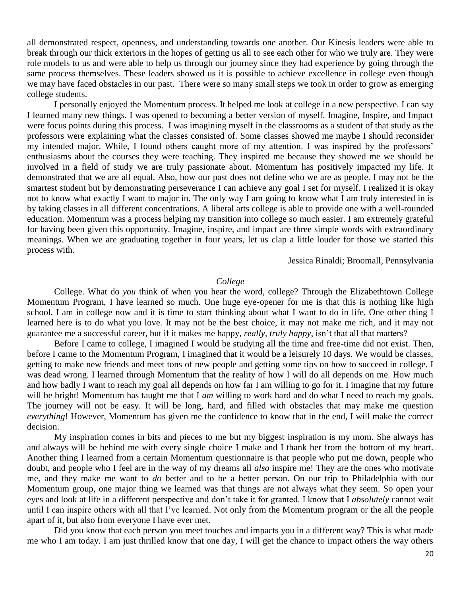all demonstrated respect, openness, and understanding towards one another. Our Kinesis leaders were able to break through our thick exteriors in the hopes of getting us all to see each other for who we truly are. They were role models to us and were able to help us through our journey since they had experience by going through the same process themselves. These leaders showed us it is possible to achieve excellence in college even though we may have faced obstacles in our past. There were so many small steps we took in order to grow as emerging college students.

I personally enjoyed the Momentum process. It helped me look at college in a new perspective. I can say I learned many new things. I was opened to becoming a better version of myself. Imagine, Inspire, and Impact were focus points during this process. I was imagining myself in the classrooms as a student of that study as the professors were explaining what the classes consisted of. Some classes showed me maybe I should reconsider my intended major. While, I found others caught more of my attention. I was inspired by the professors' enthusiasms about the courses they were teaching. They inspired me because they showed me we should be involved in a field of study we are truly passionate about. Momentum has positively impacted my life. It demonstrated that we are all equal. Also, how our past does not define who we are as people. I may not be the smartest student but by demonstrating perseverance I can achieve any goal I set for myself. I realized it is okay not to know what exactly I want to major in. The only way I am going to know what I am truly interested in is by taking classes in all different concentrations. A liberal arts college is able to provide one with a well-rounded education. Momentum was a process helping my transition into college so much easier. I am extremely grateful for having been given this opportunity. Imagine, inspire, and impact are three simple words with extraordinary meanings. When we are graduating together in four years, let us clap a little louder for those we started this process with.

Jessica Rinaldi; Broomall, Pennsylvania

# *College*

College. What do *you* think of when you hear the word, college? Through the Elizabethtown College Momentum Program, I have learned so much. One huge eye-opener for me is that this is nothing like high school. I am in college now and it is time to start thinking about what I want to do in life. One other thing I learned here is to do what you love. It may not be the best choice, it may not make me rich, and it may not guarantee me a successful career, but if it makes me happy, *really, truly happy*, isn't that all that matters?

Before I came to college, I imagined I would be studying all the time and free-time did not exist. Then, before I came to the Momentum Program, I imagined that it would be a leisurely 10 days. We would be classes, getting to make new friends and meet tons of new people and getting some tips on how to succeed in college. I was dead wrong. I learned through Momentum that the reality of how I will do all depends on me. How much and how badly I want to reach my goal all depends on how far I am willing to go for it. I imagine that my future will be bright! Momentum has taught me that I *am* willing to work hard and do what I need to reach my goals. The journey will not be easy. It will be long, hard, and filled with obstacles that may make me question *everything*! However, Momentum has given me the confidence to know that in the end, I will make the correct decision.

My inspiration comes in bits and pieces to me but my biggest inspiration is my mom. She always has and always will be behind me with every single choice I make and I thank her from the bottom of my heart. Another thing I learned from a certain Momentum questionnaire is that people who put me down, people who doubt, and people who I feel are in the way of my dreams all *also* inspire me! They are the ones who motivate me, and they make me want to *do* better and to be a better person. On our trip to Philadelphia with our Momentum group, one major thing we learned was that things are not always what they seem. So open your eyes and look at life in a different perspective and don't take it for granted. I know that I *absolutely* cannot wait until I can inspire others with all that I've learned. Not only from the Momentum program or the all the people apart of it, but also from everyone I have ever met.

Did you know that each person you meet touches and impacts you in a different way? This is what made me who I am today. I am just thrilled know that one day, I will get the chance to impact others the way others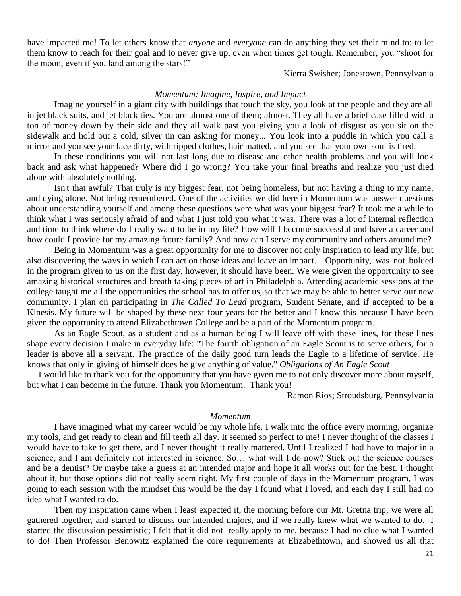have impacted me! To let others know that *anyone* and *everyone* can do anything they set their mind to; to let them know to reach for their goal and to never give up, even when times get tough. Remember, you "shoot for the moon, even if you land among the stars!"

Kierra Swisher; Jonestown, Pennsylvania

#### *Momentum: Imagine, Inspire, and Impact*

Imagine yourself in a giant city with buildings that touch the sky, you look at the people and they are all in jet black suits, and jet black ties. You are almost one of them; almost. They all have a brief case filled with a ton of money down by their side and they all walk past you giving you a look of disgust as you sit on the sidewalk and hold out a cold, silver tin can asking for money... You look into a puddle in which you call a mirror and you see your face dirty, with ripped clothes, hair matted, and you see that your own soul is tired.

In these conditions you will not last long due to disease and other health problems and you will look back and ask what happened? Where did I go wrong? You take your final breaths and realize you just died alone with absolutely nothing.

Isn't that awful? That truly is my biggest fear, not being homeless, but not having a thing to my name, and dying alone. Not being remembered. One of the activities we did here in Momentum was answer questions about understanding yourself and among these questions were what was your biggest fear? It took me a while to think what I was seriously afraid of and what I just told you what it was. There was a lot of internal reflection and time to think where do I really want to be in my life? How will I become successful and have a career and how could I provide for my amazing future family? And how can I serve my community and others around me?

Being in Momentum was a great opportunity for me to discover not only inspiration to lead my life, but also discovering the ways in which I can act on those ideas and leave an impact. Opportunity, was not bolded in the program given to us on the first day, however, it should have been. We were given the opportunity to see amazing historical structures and breath taking pieces of art in Philadelphia. Attending academic sessions at the college taught me all the opportunities the school has to offer us, so that we may be able to better serve our new community. I plan on participating in *The Called To Lead* program, Student Senate, and if accepted to be a Kinesis. My future will be shaped by these next four years for the better and I know this because I have been given the opportunity to attend Elizabethtown College and be a part of the Momentum program.

As an Eagle Scout, as a student and as a human being I will leave off with these lines, for these lines shape every decision I make in everyday life: "The fourth obligation of an Eagle Scout is to serve others, for a leader is above all a servant. The practice of the daily good turn leads the Eagle to a lifetime of service. He knows that only in giving of himself does he give anything of value." *Obligations of An Eagle Scout*

 I would like to thank you for the opportunity that you have given me to not only discover more about myself, but what I can become in the future. Thank you Momentum. Thank you!

Ramon Rios; Stroudsburg, Pennsylvania

#### *Momentum*

I have imagined what my career would be my whole life. I walk into the office every morning, organize my tools, and get ready to clean and fill teeth all day. It seemed so perfect to me! I never thought of the classes I would have to take to get there, and I never thought it really mattered. Until I realized I had have to major in a science, and I am definitely not interested in science. So… what will I do now? Stick out the science courses and be a dentist? Or maybe take a guess at an intended major and hope it all works out for the best. I thought about it, but those options did not really seem right. My first couple of days in the Momentum program, I was going to each session with the mindset this would be the day I found what I loved, and each day I still had no idea what I wanted to do.

Then my inspiration came when I least expected it, the morning before our Mt. Gretna trip; we were all gathered together, and started to discuss our intended majors, and if we really knew what we wanted to do. I started the discussion pessimistic; I felt that it did not really apply to me, because I had no clue what I wanted to do! Then Professor Benowitz explained the core requirements at Elizabethtown, and showed us all that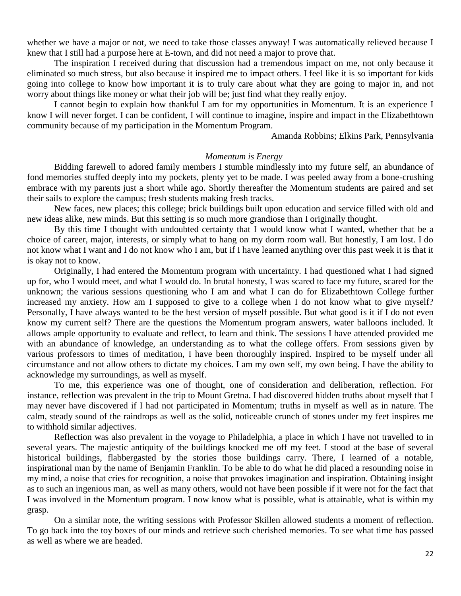whether we have a major or not, we need to take those classes anyway! I was automatically relieved because I knew that I still had a purpose here at E-town, and did not need a major to prove that.

The inspiration I received during that discussion had a tremendous impact on me, not only because it eliminated so much stress, but also because it inspired me to impact others. I feel like it is so important for kids going into college to know how important it is to truly care about what they are going to major in, and not worry about things like money or what their job will be; just find what they really enjoy.

I cannot begin to explain how thankful I am for my opportunities in Momentum. It is an experience I know I will never forget. I can be confident, I will continue to imagine, inspire and impact in the Elizabethtown community because of my participation in the Momentum Program.

Amanda Robbins; Elkins Park, Pennsylvania

#### *Momentum is Energy*

Bidding farewell to adored family members I stumble mindlessly into my future self, an abundance of fond memories stuffed deeply into my pockets, plenty yet to be made. I was peeled away from a bone-crushing embrace with my parents just a short while ago. Shortly thereafter the Momentum students are paired and set their sails to explore the campus; fresh students making fresh tracks.

New faces, new places; this college; brick buildings built upon education and service filled with old and new ideas alike, new minds. But this setting is so much more grandiose than I originally thought.

By this time I thought with undoubted certainty that I would know what I wanted, whether that be a choice of career, major, interests, or simply what to hang on my dorm room wall. But honestly, I am lost. I do not know what I want and I do not know who I am, but if I have learned anything over this past week it is that it is okay not to know.

Originally, I had entered the Momentum program with uncertainty. I had questioned what I had signed up for, who I would meet, and what I would do. In brutal honesty, I was scared to face my future, scared for the unknown; the various sessions questioning who I am and what I can do for Elizabethtown College further increased my anxiety. How am I supposed to give to a college when I do not know what to give myself? Personally, I have always wanted to be the best version of myself possible. But what good is it if I do not even know my current self? There are the questions the Momentum program answers, water balloons included. It allows ample opportunity to evaluate and reflect, to learn and think. The sessions I have attended provided me with an abundance of knowledge, an understanding as to what the college offers. From sessions given by various professors to times of meditation, I have been thoroughly inspired. Inspired to be myself under all circumstance and not allow others to dictate my choices. I am my own self, my own being. I have the ability to acknowledge my surroundings, as well as myself.

To me, this experience was one of thought, one of consideration and deliberation, reflection. For instance, reflection was prevalent in the trip to Mount Gretna. I had discovered hidden truths about myself that I may never have discovered if I had not participated in Momentum; truths in myself as well as in nature. The calm, steady sound of the raindrops as well as the solid, noticeable crunch of stones under my feet inspires me to withhold similar adjectives.

Reflection was also prevalent in the voyage to Philadelphia, a place in which I have not travelled to in several years. The majestic antiquity of the buildings knocked me off my feet. I stood at the base of several historical buildings, flabbergasted by the stories those buildings carry. There, I learned of a notable, inspirational man by the name of Benjamin Franklin. To be able to do what he did placed a resounding noise in my mind, a noise that cries for recognition, a noise that provokes imagination and inspiration. Obtaining insight as to such an ingenious man, as well as many others, would not have been possible if it were not for the fact that I was involved in the Momentum program. I now know what is possible, what is attainable, what is within my grasp.

On a similar note, the writing sessions with Professor Skillen allowed students a moment of reflection. To go back into the toy boxes of our minds and retrieve such cherished memories. To see what time has passed as well as where we are headed.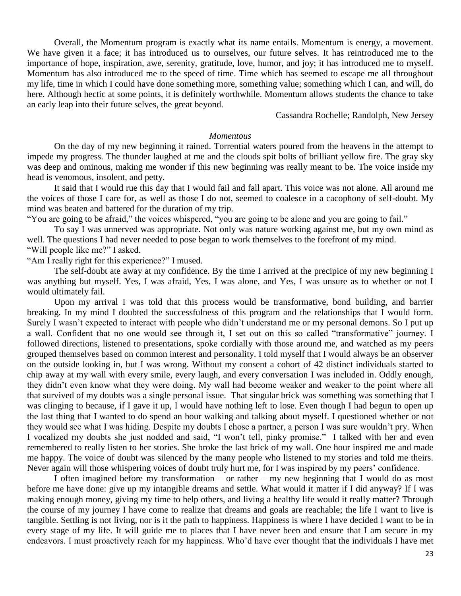Overall, the Momentum program is exactly what its name entails. Momentum is energy, a movement. We have given it a face; it has introduced us to ourselves, our future selves. It has reintroduced me to the importance of hope, inspiration, awe, serenity, gratitude, love, humor, and joy; it has introduced me to myself. Momentum has also introduced me to the speed of time. Time which has seemed to escape me all throughout my life, time in which I could have done something more, something value; something which I can, and will, do here. Although hectic at some points, it is definitely worthwhile. Momentum allows students the chance to take an early leap into their future selves, the great beyond.

Cassandra Rochelle; Randolph, New Jersey

# *Momentous*

On the day of my new beginning it rained. Torrential waters poured from the heavens in the attempt to impede my progress. The thunder laughed at me and the clouds spit bolts of brilliant yellow fire. The gray sky was deep and ominous, making me wonder if this new beginning was really meant to be. The voice inside my head is venomous, insolent, and petty.

It said that I would rue this day that I would fail and fall apart. This voice was not alone. All around me the voices of those I care for, as well as those I do not, seemed to coalesce in a cacophony of self-doubt. My mind was beaten and battered for the duration of my trip.

"You are going to be afraid," the voices whispered, "you are going to be alone and you are going to fail."

To say I was unnerved was appropriate. Not only was nature working against me, but my own mind as well. The questions I had never needed to pose began to work themselves to the forefront of my mind. "Will people like me?" I asked.

"Am I really right for this experience?" I mused.

The self-doubt ate away at my confidence. By the time I arrived at the precipice of my new beginning I was anything but myself. Yes, I was afraid, Yes, I was alone, and Yes, I was unsure as to whether or not I would ultimately fail.

Upon my arrival I was told that this process would be transformative, bond building, and barrier breaking. In my mind I doubted the successfulness of this program and the relationships that I would form. Surely I wasn't expected to interact with people who didn't understand me or my personal demons. So I put up a wall. Confident that no one would see through it, I set out on this so called "transformative" journey. I followed directions, listened to presentations, spoke cordially with those around me, and watched as my peers grouped themselves based on common interest and personality. I told myself that I would always be an observer on the outside looking in, but I was wrong. Without my consent a cohort of 42 distinct individuals started to chip away at my wall with every smile, every laugh, and every conversation I was included in. Oddly enough, they didn't even know what they were doing. My wall had become weaker and weaker to the point where all that survived of my doubts was a single personal issue. That singular brick was something was something that I was clinging to because, if I gave it up, I would have nothing left to lose. Even though I had begun to open up the last thing that I wanted to do spend an hour walking and talking about myself. I questioned whether or not they would see what I was hiding. Despite my doubts I chose a partner, a person I was sure wouldn't pry. When I vocalized my doubts she just nodded and said, "I won't tell, pinky promise." I talked with her and even remembered to really listen to her stories. She broke the last brick of my wall. One hour inspired me and made me happy. The voice of doubt was silenced by the many people who listened to my stories and told me theirs. Never again will those whispering voices of doubt truly hurt me, for I was inspired by my peers' confidence.

I often imagined before my transformation – or rather – my new beginning that I would do as most before me have done: give up my intangible dreams and settle. What would it matter if I did anyway? If I was making enough money, giving my time to help others, and living a healthy life would it really matter? Through the course of my journey I have come to realize that dreams and goals are reachable; the life I want to live is tangible. Settling is not living, nor is it the path to happiness. Happiness is where I have decided I want to be in every stage of my life. It will guide me to places that I have never been and ensure that I am secure in my endeavors. I must proactively reach for my happiness. Who'd have ever thought that the individuals I have met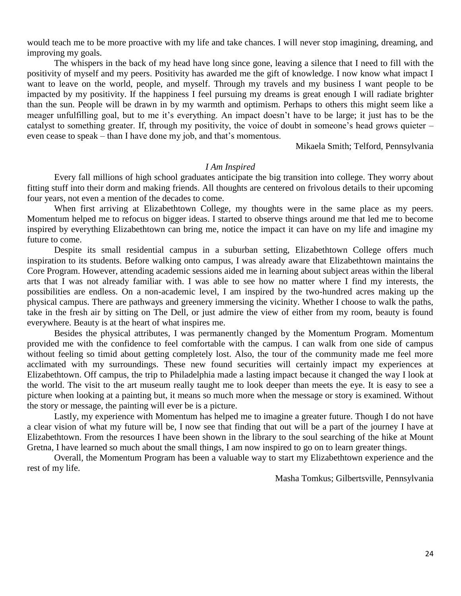would teach me to be more proactive with my life and take chances. I will never stop imagining, dreaming, and improving my goals.

The whispers in the back of my head have long since gone, leaving a silence that I need to fill with the positivity of myself and my peers. Positivity has awarded me the gift of knowledge. I now know what impact I want to leave on the world, people, and myself. Through my travels and my business I want people to be impacted by my positivity. If the happiness I feel pursuing my dreams is great enough I will radiate brighter than the sun. People will be drawn in by my warmth and optimism. Perhaps to others this might seem like a meager unfulfilling goal, but to me it's everything. An impact doesn't have to be large; it just has to be the catalyst to something greater. If, through my positivity, the voice of doubt in someone's head grows quieter – even cease to speak – than I have done my job, and that's momentous.

Mikaela Smith; Telford, Pennsylvania

# *I Am Inspired*

Every fall millions of high school graduates anticipate the big transition into college. They worry about fitting stuff into their dorm and making friends. All thoughts are centered on frivolous details to their upcoming four years, not even a mention of the decades to come.

When first arriving at Elizabethtown College, my thoughts were in the same place as my peers. Momentum helped me to refocus on bigger ideas. I started to observe things around me that led me to become inspired by everything Elizabethtown can bring me, notice the impact it can have on my life and imagine my future to come.

Despite its small residential campus in a suburban setting, Elizabethtown College offers much inspiration to its students. Before walking onto campus, I was already aware that Elizabethtown maintains the Core Program. However, attending academic sessions aided me in learning about subject areas within the liberal arts that I was not already familiar with. I was able to see how no matter where I find my interests, the possibilities are endless. On a non-academic level, I am inspired by the two-hundred acres making up the physical campus. There are pathways and greenery immersing the vicinity. Whether I choose to walk the paths, take in the fresh air by sitting on The Dell, or just admire the view of either from my room, beauty is found everywhere. Beauty is at the heart of what inspires me.

Besides the physical attributes, I was permanently changed by the Momentum Program. Momentum provided me with the confidence to feel comfortable with the campus. I can walk from one side of campus without feeling so timid about getting completely lost. Also, the tour of the community made me feel more acclimated with my surroundings. These new found securities will certainly impact my experiences at Elizabethtown. Off campus, the trip to Philadelphia made a lasting impact because it changed the way I look at the world. The visit to the art museum really taught me to look deeper than meets the eye. It is easy to see a picture when looking at a painting but, it means so much more when the message or story is examined. Without the story or message, the painting will ever be is a picture.

Lastly, my experience with Momentum has helped me to imagine a greater future. Though I do not have a clear vision of what my future will be, I now see that finding that out will be a part of the journey I have at Elizabethtown. From the resources I have been shown in the library to the soul searching of the hike at Mount Gretna, I have learned so much about the small things, I am now inspired to go on to learn greater things.

Overall, the Momentum Program has been a valuable way to start my Elizabethtown experience and the rest of my life.

Masha Tomkus; Gilbertsville, Pennsylvania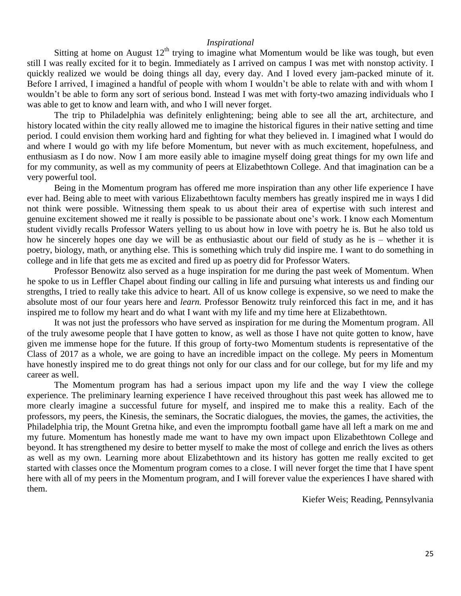#### *Inspirational*

Sitting at home on August  $12<sup>th</sup>$  trying to imagine what Momentum would be like was tough, but even still I was really excited for it to begin. Immediately as I arrived on campus I was met with nonstop activity. I quickly realized we would be doing things all day, every day. And I loved every jam-packed minute of it. Before I arrived, I imagined a handful of people with whom I wouldn't be able to relate with and with whom I wouldn't be able to form any sort of serious bond. Instead I was met with forty-two amazing individuals who I was able to get to know and learn with, and who I will never forget.

The trip to Philadelphia was definitely enlightening; being able to see all the art, architecture, and history located within the city really allowed me to imagine the historical figures in their native setting and time period. I could envision them working hard and fighting for what they believed in. I imagined what I would do and where I would go with my life before Momentum, but never with as much excitement, hopefulness, and enthusiasm as I do now. Now I am more easily able to imagine myself doing great things for my own life and for my community, as well as my community of peers at Elizabethtown College. And that imagination can be a very powerful tool.

Being in the Momentum program has offered me more inspiration than any other life experience I have ever had. Being able to meet with various Elizabethtown faculty members has greatly inspired me in ways I did not think were possible. Witnessing them speak to us about their area of expertise with such interest and genuine excitement showed me it really is possible to be passionate about one's work. I know each Momentum student vividly recalls Professor Waters yelling to us about how in love with poetry he is. But he also told us how he sincerely hopes one day we will be as enthusiastic about our field of study as he is – whether it is poetry, biology, math, or anything else. This is something which truly did inspire me. I want to do something in college and in life that gets me as excited and fired up as poetry did for Professor Waters.

Professor Benowitz also served as a huge inspiration for me during the past week of Momentum. When he spoke to us in Leffler Chapel about finding our calling in life and pursuing what interests us and finding our strengths, I tried to really take this advice to heart. All of us know college is expensive, so we need to make the absolute most of our four years here and *learn.* Professor Benowitz truly reinforced this fact in me, and it has inspired me to follow my heart and do what I want with my life and my time here at Elizabethtown.

It was not just the professors who have served as inspiration for me during the Momentum program. All of the truly awesome people that I have gotten to know, as well as those I have not quite gotten to know, have given me immense hope for the future. If this group of forty-two Momentum students is representative of the Class of 2017 as a whole, we are going to have an incredible impact on the college. My peers in Momentum have honestly inspired me to do great things not only for our class and for our college, but for my life and my career as well.

The Momentum program has had a serious impact upon my life and the way I view the college experience. The preliminary learning experience I have received throughout this past week has allowed me to more clearly imagine a successful future for myself, and inspired me to make this a reality. Each of the professors, my peers, the Kinesis, the seminars, the Socratic dialogues, the movies, the games, the activities, the Philadelphia trip, the Mount Gretna hike, and even the impromptu football game have all left a mark on me and my future. Momentum has honestly made me want to have my own impact upon Elizabethtown College and beyond. It has strengthened my desire to better myself to make the most of college and enrich the lives as others as well as my own. Learning more about Elizabethtown and its history has gotten me really excited to get started with classes once the Momentum program comes to a close. I will never forget the time that I have spent here with all of my peers in the Momentum program, and I will forever value the experiences I have shared with them.

Kiefer Weis; Reading, Pennsylvania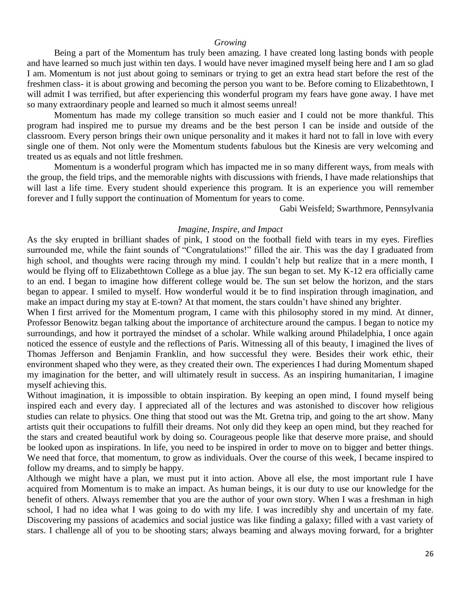#### *Growing*

Being a part of the Momentum has truly been amazing. I have created long lasting bonds with people and have learned so much just within ten days. I would have never imagined myself being here and I am so glad I am. Momentum is not just about going to seminars or trying to get an extra head start before the rest of the freshmen class- it is about growing and becoming the person you want to be. Before coming to Elizabethtown, I will admit I was terrified, but after experiencing this wonderful program my fears have gone away. I have met so many extraordinary people and learned so much it almost seems unreal!

Momentum has made my college transition so much easier and I could not be more thankful. This program had inspired me to pursue my dreams and be the best person I can be inside and outside of the classroom. Every person brings their own unique personality and it makes it hard not to fall in love with every single one of them. Not only were the Momentum students fabulous but the Kinesis are very welcoming and treated us as equals and not little freshmen.

Momentum is a wonderful program which has impacted me in so many different ways, from meals with the group, the field trips, and the memorable nights with discussions with friends, I have made relationships that will last a life time. Every student should experience this program. It is an experience you will remember forever and I fully support the continuation of Momentum for years to come.

Gabi Weisfeld; Swarthmore, Pennsylvania

#### *Imagine, Inspire, and Impact*

As the sky erupted in brilliant shades of pink, I stood on the football field with tears in my eyes. Fireflies surrounded me, while the faint sounds of "Congratulations!" filled the air. This was the day I graduated from high school, and thoughts were racing through my mind. I couldn't help but realize that in a mere month, I would be flying off to Elizabethtown College as a blue jay. The sun began to set. My K-12 era officially came to an end. I began to imagine how different college would be. The sun set below the horizon, and the stars began to appear. I smiled to myself. How wonderful would it be to find inspiration through imagination, and make an impact during my stay at E-town? At that moment, the stars couldn't have shined any brighter.

When I first arrived for the Momentum program, I came with this philosophy stored in my mind. At dinner, Professor Benowitz began talking about the importance of architecture around the campus. I began to notice my surroundings, and how it portrayed the mindset of a scholar. While walking around Philadelphia, I once again noticed the essence of eustyle and the reflections of Paris. Witnessing all of this beauty, I imagined the lives of Thomas Jefferson and Benjamin Franklin, and how successful they were. Besides their work ethic, their environment shaped who they were, as they created their own. The experiences I had during Momentum shaped my imagination for the better, and will ultimately result in success. As an inspiring humanitarian, I imagine myself achieving this.

Without imagination, it is impossible to obtain inspiration. By keeping an open mind, I found myself being inspired each and every day. I appreciated all of the lectures and was astonished to discover how religious studies can relate to physics. One thing that stood out was the Mt. Gretna trip, and going to the art show. Many artists quit their occupations to fulfill their dreams. Not only did they keep an open mind, but they reached for the stars and created beautiful work by doing so. Courageous people like that deserve more praise, and should be looked upon as inspirations. In life, you need to be inspired in order to move on to bigger and better things. We need that force, that momentum, to grow as individuals. Over the course of this week, I became inspired to follow my dreams, and to simply be happy.

Although we might have a plan, we must put it into action. Above all else, the most important rule I have acquired from Momentum is to make an impact. As human beings, it is our duty to use our knowledge for the benefit of others. Always remember that you are the author of your own story. When I was a freshman in high school, I had no idea what I was going to do with my life. I was incredibly shy and uncertain of my fate. Discovering my passions of academics and social justice was like finding a galaxy; filled with a vast variety of stars. I challenge all of you to be shooting stars; always beaming and always moving forward, for a brighter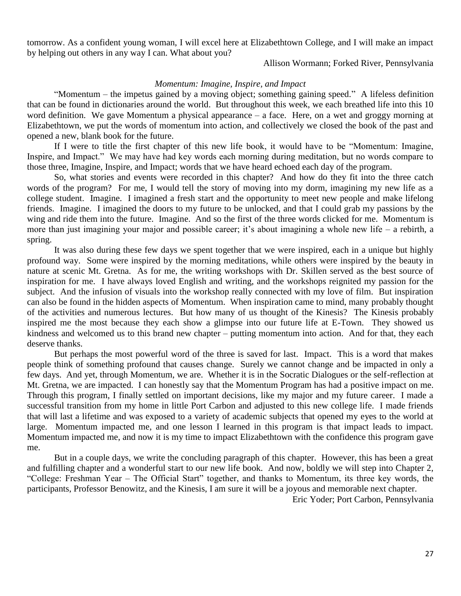tomorrow. As a confident young woman, I will excel here at Elizabethtown College, and I will make an impact by helping out others in any way I can. What about you?

Allison Wormann; Forked River, Pennsylvania

# *Momentum: Imagine, Inspire, and Impact*

"Momentum – the impetus gained by a moving object; something gaining speed." A lifeless definition that can be found in dictionaries around the world. But throughout this week, we each breathed life into this 10 word definition. We gave Momentum a physical appearance – a face. Here, on a wet and groggy morning at Elizabethtown, we put the words of momentum into action, and collectively we closed the book of the past and opened a new, blank book for the future.

If I were to title the first chapter of this new life book, it would have to be "Momentum: Imagine, Inspire, and Impact." We may have had key words each morning during meditation, but no words compare to those three, Imagine, Inspire, and Impact; words that we have heard echoed each day of the program.

So, what stories and events were recorded in this chapter? And how do they fit into the three catch words of the program? For me, I would tell the story of moving into my dorm, imagining my new life as a college student. Imagine. I imagined a fresh start and the opportunity to meet new people and make lifelong friends. Imagine. I imagined the doors to my future to be unlocked, and that I could grab my passions by the wing and ride them into the future. Imagine. And so the first of the three words clicked for me. Momentum is more than just imagining your major and possible career; it's about imagining a whole new life – a rebirth, a spring.

It was also during these few days we spent together that we were inspired, each in a unique but highly profound way. Some were inspired by the morning meditations, while others were inspired by the beauty in nature at scenic Mt. Gretna. As for me, the writing workshops with Dr. Skillen served as the best source of inspiration for me. I have always loved English and writing, and the workshops reignited my passion for the subject. And the infusion of visuals into the workshop really connected with my love of film. But inspiration can also be found in the hidden aspects of Momentum. When inspiration came to mind, many probably thought of the activities and numerous lectures. But how many of us thought of the Kinesis? The Kinesis probably inspired me the most because they each show a glimpse into our future life at E-Town. They showed us kindness and welcomed us to this brand new chapter – putting momentum into action. And for that, they each deserve thanks.

But perhaps the most powerful word of the three is saved for last. Impact. This is a word that makes people think of something profound that causes change. Surely we cannot change and be impacted in only a few days. And yet, through Momentum, we are. Whether it is in the Socratic Dialogues or the self-reflection at Mt. Gretna, we are impacted. I can honestly say that the Momentum Program has had a positive impact on me. Through this program, I finally settled on important decisions, like my major and my future career. I made a successful transition from my home in little Port Carbon and adjusted to this new college life. I made friends that will last a lifetime and was exposed to a variety of academic subjects that opened my eyes to the world at large. Momentum impacted me, and one lesson I learned in this program is that impact leads to impact. Momentum impacted me, and now it is my time to impact Elizabethtown with the confidence this program gave me.

But in a couple days, we write the concluding paragraph of this chapter. However, this has been a great and fulfilling chapter and a wonderful start to our new life book. And now, boldly we will step into Chapter 2, "College: Freshman Year – The Official Start" together, and thanks to Momentum, its three key words, the participants, Professor Benowitz, and the Kinesis, I am sure it will be a joyous and memorable next chapter.

Eric Yoder; Port Carbon, Pennsylvania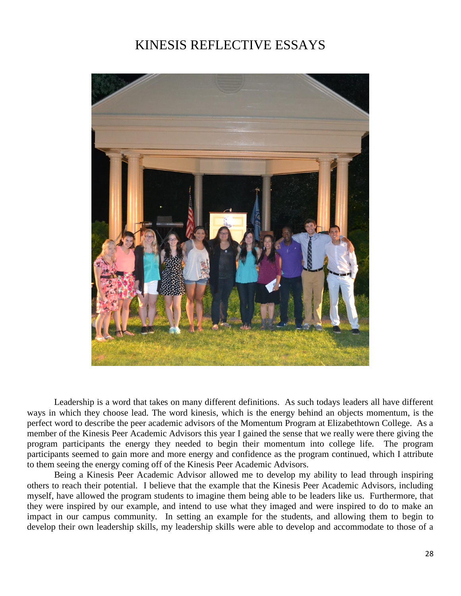# KINESIS REFLECTIVE ESSAYS



Leadership is a word that takes on many different definitions. As such todays leaders all have different ways in which they choose lead. The word kinesis, which is the energy behind an objects momentum, is the perfect word to describe the peer academic advisors of the Momentum Program at Elizabethtown College. As a member of the Kinesis Peer Academic Advisors this year I gained the sense that we really were there giving the program participants the energy they needed to begin their momentum into college life. The program participants seemed to gain more and more energy and confidence as the program continued, which I attribute to them seeing the energy coming off of the Kinesis Peer Academic Advisors.

Being a Kinesis Peer Academic Advisor allowed me to develop my ability to lead through inspiring others to reach their potential. I believe that the example that the Kinesis Peer Academic Advisors, including myself, have allowed the program students to imagine them being able to be leaders like us. Furthermore, that they were inspired by our example, and intend to use what they imaged and were inspired to do to make an impact in our campus community. In setting an example for the students, and allowing them to begin to develop their own leadership skills, my leadership skills were able to develop and accommodate to those of a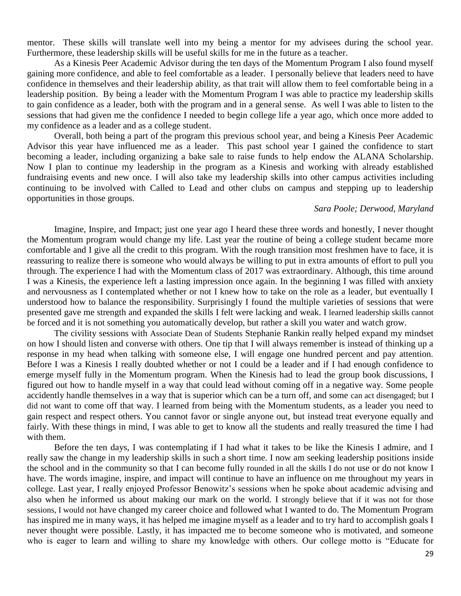mentor. These skills will translate well into my being a mentor for my advisees during the school year. Furthermore, these leadership skills will be useful skills for me in the future as a teacher.

As a Kinesis Peer Academic Advisor during the ten days of the Momentum Program I also found myself gaining more confidence, and able to feel comfortable as a leader. I personally believe that leaders need to have confidence in themselves and their leadership ability, as that trait will allow them to feel comfortable being in a leadership position. By being a leader with the Momentum Program I was able to practice my leadership skills to gain confidence as a leader, both with the program and in a general sense. As well I was able to listen to the sessions that had given me the confidence I needed to begin college life a year ago, which once more added to my confidence as a leader and as a college student.

Overall, both being a part of the program this previous school year, and being a Kinesis Peer Academic Advisor this year have influenced me as a leader. This past school year I gained the confidence to start becoming a leader, including organizing a bake sale to raise funds to help endow the ALANA Scholarship. Now I plan to continue my leadership in the program as a Kinesis and working with already established fundraising events and new once. I will also take my leadership skills into other campus activities including continuing to be involved with Called to Lead and other clubs on campus and stepping up to leadership opportunities in those groups.

# *Sara Poole; Derwood, Maryland*

Imagine, Inspire, and Impact; just one year ago I heard these three words and honestly, I never thought the Momentum program would change my life. Last year the routine of being a college student became more comfortable and I give all the credit to this program. With the rough transition most freshmen have to face, it is reassuring to realize there is someone who would always be willing to put in extra amounts of effort to pull you through. The experience I had with the Momentum class of 2017 was extraordinary. Although, this time around I was a Kinesis, the experience left a lasting impression once again. In the beginning I was filled with anxiety and nervousness as I contemplated whether or not I knew how to take on the role as a leader, but eventually I understood how to balance the responsibility. Surprisingly I found the multiple varieties of sessions that were presented gave me strength and expanded the skills I felt were lacking and weak. I learned leadership skills cannot be forced and it is not something you automatically develop, but rather a skill you water and watch grow.

The civility sessions with Associate Dean of Students Stephanie Rankin really helped expand my mindset on how I should listen and converse with others. One tip that I will always remember is instead of thinking up a response in my head when talking with someone else, I will engage one hundred percent and pay attention. Before I was a Kinesis I really doubted whether or not I could be a leader and if I had enough confidence to emerge myself fully in the Momentum program. When the Kinesis had to lead the group book discussions, I figured out how to handle myself in a way that could lead without coming off in a negative way. Some people accidently handle themselves in a way that is superior which can be a turn off, and some can act disengaged; but I did not want to come off that way. I learned from being with the Momentum students, as a leader you need to gain respect and respect others. You cannot favor or single anyone out, but instead treat everyone equally and fairly. With these things in mind, I was able to get to know all the students and really treasured the time I had with them.

Before the ten days, I was contemplating if I had what it takes to be like the Kinesis I admire, and I really saw the change in my leadership skills in such a short time. I now am seeking leadership positions inside the school and in the community so that I can become fully rounded in all the skills I do not use or do not know I have. The words imagine, inspire, and impact will continue to have an influence on me throughout my years in college. Last year, I really enjoyed Professor Benowitz's sessions when he spoke about academic advising and also when he informed us about making our mark on the world. I strongly believe that if it was not for those sessions, I would not have changed my career choice and followed what I wanted to do. The Momentum Program has inspired me in many ways, it has helped me imagine myself as a leader and to try hard to accomplish goals I never thought were possible. Lastly, it has impacted me to become someone who is motivated, and someone who is eager to learn and willing to share my knowledge with others. Our college motto is "Educate for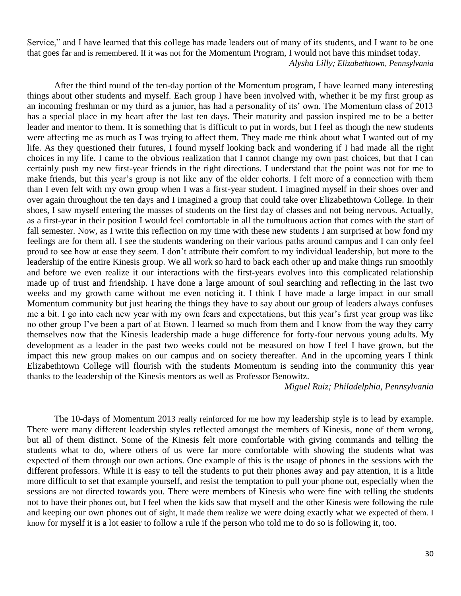Service," and I have learned that this college has made leaders out of many of its students, and I want to be one that goes far and is remembered. If it was not for the Momentum Program, I would not have this mindset today. *Alysha Lilly; Elizabethtown, Pennsylvania*

After the third round of the ten-day portion of the Momentum program, I have learned many interesting things about other students and myself. Each group I have been involved with, whether it be my first group as an incoming freshman or my third as a junior, has had a personality of its' own. The Momentum class of 2013 has a special place in my heart after the last ten days. Their maturity and passion inspired me to be a better leader and mentor to them. It is something that is difficult to put in words, but I feel as though the new students were affecting me as much as I was trying to affect them. They made me think about what I wanted out of my life. As they questioned their futures, I found myself looking back and wondering if I had made all the right choices in my life. I came to the obvious realization that I cannot change my own past choices, but that I can certainly push my new first-year friends in the right directions. I understand that the point was not for me to make friends, but this year's group is not like any of the older cohorts. I felt more of a connection with them than I even felt with my own group when I was a first-year student. I imagined myself in their shoes over and over again throughout the ten days and I imagined a group that could take over Elizabethtown College. In their shoes, I saw myself entering the masses of students on the first day of classes and not being nervous. Actually, as a first-year in their position I would feel comfortable in all the tumultuous action that comes with the start of fall semester. Now, as I write this reflection on my time with these new students I am surprised at how fond my feelings are for them all. I see the students wandering on their various paths around campus and I can only feel proud to see how at ease they seem. I don't attribute their comfort to my individual leadership, but more to the leadership of the entire Kinesis group. We all work so hard to back each other up and make things run smoothly and before we even realize it our interactions with the first-years evolves into this complicated relationship made up of trust and friendship. I have done a large amount of soul searching and reflecting in the last two weeks and my growth came without me even noticing it. I think I have made a large impact in our small Momentum community but just hearing the things they have to say about our group of leaders always confuses me a bit. I go into each new year with my own fears and expectations, but this year's first year group was like no other group I've been a part of at Etown. I learned so much from them and I know from the way they carry themselves now that the Kinesis leadership made a huge difference for forty-four nervous young adults. My development as a leader in the past two weeks could not be measured on how I feel I have grown, but the impact this new group makes on our campus and on society thereafter. And in the upcoming years I think Elizabethtown College will flourish with the students Momentum is sending into the community this year thanks to the leadership of the Kinesis mentors as well as Professor Benowitz.

*Miguel Ruiz; Philadelphia, Pennsylvania*

The 10-days of Momentum 2013 really reinforced for me how my leadership style is to lead by example. There were many different leadership styles reflected amongst the members of Kinesis, none of them wrong, but all of them distinct. Some of the Kinesis felt more comfortable with giving commands and telling the students what to do, where others of us were far more comfortable with showing the students what was expected of them through our own actions. One example of this is the usage of phones in the sessions with the different professors. While it is easy to tell the students to put their phones away and pay attention, it is a little more difficult to set that example yourself, and resist the temptation to pull your phone out, especially when the sessions are not directed towards you. There were members of Kinesis who were fine with telling the students not to have their phones out, but I feel when the kids saw that myself and the other Kinesis were following the rule and keeping our own phones out of sight, it made them realize we were doing exactly what we expected of them. I know for myself it is a lot easier to follow a rule if the person who told me to do so is following it, too.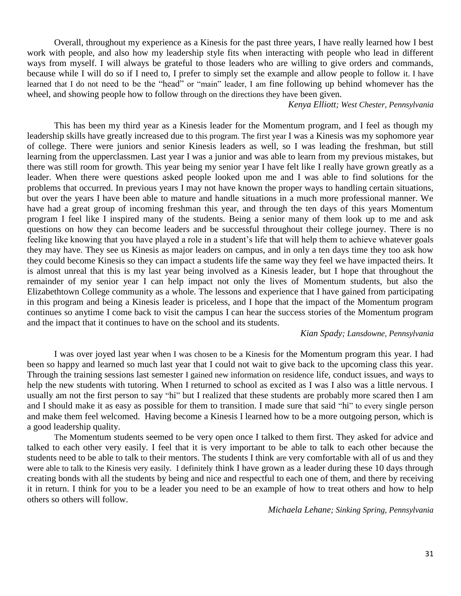Overall, throughout my experience as a Kinesis for the past three years, I have really learned how I best work with people, and also how my leadership style fits when interacting with people who lead in different ways from myself. I will always be grateful to those leaders who are willing to give orders and commands, because while I will do so if I need to, I prefer to simply set the example and allow people to follow it. I have learned that I do not need to be the "head" or "main" leader, I am fine following up behind whomever has the wheel, and showing people how to follow through on the directions they have been given.

#### *Kenya Elliott; West Chester, Pennsylvania*

This has been my third year as a Kinesis leader for the Momentum program, and I feel as though my leadership skills have greatly increased due to this program. The first year I was a Kinesis was my sophomore year of college. There were juniors and senior Kinesis leaders as well, so I was leading the freshman, but still learning from the upperclassmen. Last year I was a junior and was able to learn from my previous mistakes, but there was still room for growth. This year being my senior year I have felt like I really have grown greatly as a leader. When there were questions asked people looked upon me and I was able to find solutions for the problems that occurred. In previous years I may not have known the proper ways to handling certain situations, but over the years I have been able to mature and handle situations in a much more professional manner. We have had a great group of incoming freshman this year, and through the ten days of this years Momentum program I feel like I inspired many of the students. Being a senior many of them look up to me and ask questions on how they can become leaders and be successful throughout their college journey. There is no feeling like knowing that you have played a role in a student's life that will help them to achieve whatever goals they may have. They see us Kinesis as major leaders on campus, and in only a ten days time they too ask how they could become Kinesis so they can impact a students life the same way they feel we have impacted theirs. It is almost unreal that this is my last year being involved as a Kinesis leader, but I hope that throughout the remainder of my senior year I can help impact not only the lives of Momentum students, but also the Elizabethtown College community as a whole. The lessons and experience that I have gained from participating in this program and being a Kinesis leader is priceless, and I hope that the impact of the Momentum program continues so anytime I come back to visit the campus I can hear the success stories of the Momentum program and the impact that it continues to have on the school and its students.

#### *Kian Spady; Lansdowne, Pennsylvania*

I was over joyed last year when I was chosen to be a Kinesis for the Momentum program this year. I had been so happy and learned so much last year that I could not wait to give back to the upcoming class this year. Through the training sessions last semester I gained new information on residence life, conduct issues, and ways to help the new students with tutoring. When I returned to school as excited as I was I also was a little nervous. I usually am not the first person to say "hi" but I realized that these students are probably more scared then I am and I should make it as easy as possible for them to transition. I made sure that said "hi" to every single person and make them feel welcomed. Having become a Kinesis I learned how to be a more outgoing person, which is a good leadership quality.

The Momentum students seemed to be very open once I talked to them first. They asked for advice and talked to each other very easily. I feel that it is very important to be able to talk to each other because the students need to be able to talk to their mentors. The students I think are very comfortable with all of us and they were able to talk to the Kinesis very easily. I definitely think I have grown as a leader during these 10 days through creating bonds with all the students by being and nice and respectful to each one of them, and there by receiving it in return. I think for you to be a leader you need to be an example of how to treat others and how to help others so others will follow.

*Michaela Lehane; Sinking Spring, Pennsylvania*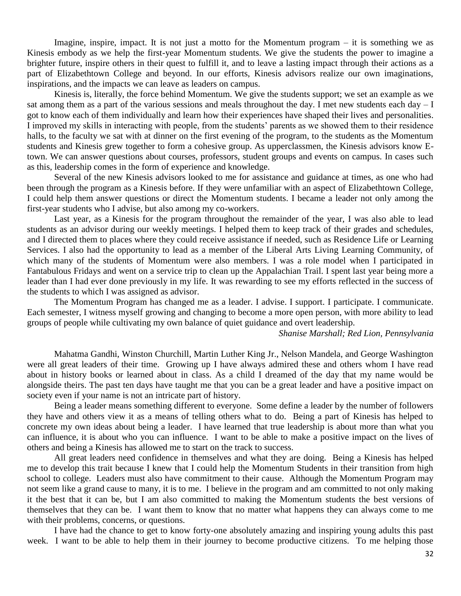Imagine, inspire, impact. It is not just a motto for the Momentum program  $-$  it is something we as Kinesis embody as we help the first-year Momentum students. We give the students the power to imagine a brighter future, inspire others in their quest to fulfill it, and to leave a lasting impact through their actions as a part of Elizabethtown College and beyond. In our efforts, Kinesis advisors realize our own imaginations, inspirations, and the impacts we can leave as leaders on campus.

Kinesis is, literally, the force behind Momentum. We give the students support; we set an example as we sat among them as a part of the various sessions and meals throughout the day. I met new students each day – I got to know each of them individually and learn how their experiences have shaped their lives and personalities. I improved my skills in interacting with people, from the students' parents as we showed them to their residence halls, to the faculty we sat with at dinner on the first evening of the program, to the students as the Momentum students and Kinesis grew together to form a cohesive group. As upperclassmen, the Kinesis advisors know Etown. We can answer questions about courses, professors, student groups and events on campus. In cases such as this, leadership comes in the form of experience and knowledge.

Several of the new Kinesis advisors looked to me for assistance and guidance at times, as one who had been through the program as a Kinesis before. If they were unfamiliar with an aspect of Elizabethtown College, I could help them answer questions or direct the Momentum students. I became a leader not only among the first-year students who I advise, but also among my co-workers.

Last year, as a Kinesis for the program throughout the remainder of the year, I was also able to lead students as an advisor during our weekly meetings. I helped them to keep track of their grades and schedules, and I directed them to places where they could receive assistance if needed, such as Residence Life or Learning Services. I also had the opportunity to lead as a member of the Liberal Arts Living Learning Community, of which many of the students of Momentum were also members. I was a role model when I participated in Fantabulous Fridays and went on a service trip to clean up the Appalachian Trail. I spent last year being more a leader than I had ever done previously in my life. It was rewarding to see my efforts reflected in the success of the students to which I was assigned as advisor.

The Momentum Program has changed me as a leader. I advise. I support. I participate. I communicate. Each semester, I witness myself growing and changing to become a more open person, with more ability to lead groups of people while cultivating my own balance of quiet guidance and overt leadership.

#### *Shanise Marshall; Red Lion, Pennsylvania*

Mahatma Gandhi, Winston Churchill, Martin Luther King Jr., Nelson Mandela, and George Washington were all great leaders of their time. Growing up I have always admired these and others whom I have read about in history books or learned about in class. As a child I dreamed of the day that my name would be alongside theirs. The past ten days have taught me that you can be a great leader and have a positive impact on society even if your name is not an intricate part of history.

Being a leader means something different to everyone. Some define a leader by the number of followers they have and others view it as a means of telling others what to do. Being a part of Kinesis has helped to concrete my own ideas about being a leader. I have learned that true leadership is about more than what you can influence, it is about who you can influence. I want to be able to make a positive impact on the lives of others and being a Kinesis has allowed me to start on the track to success.

All great leaders need confidence in themselves and what they are doing. Being a Kinesis has helped me to develop this trait because I knew that I could help the Momentum Students in their transition from high school to college. Leaders must also have commitment to their cause. Although the Momentum Program may not seem like a grand cause to many, it is to me. I believe in the program and am committed to not only making it the best that it can be, but I am also committed to making the Momentum students the best versions of themselves that they can be. I want them to know that no matter what happens they can always come to me with their problems, concerns, or questions.

I have had the chance to get to know forty-one absolutely amazing and inspiring young adults this past week. I want to be able to help them in their journey to become productive citizens. To me helping those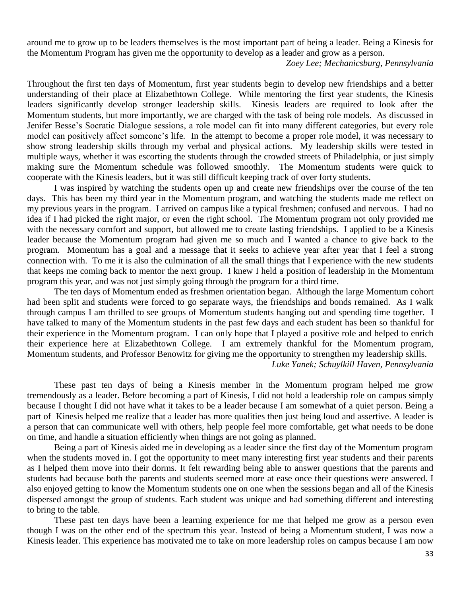around me to grow up to be leaders themselves is the most important part of being a leader. Being a Kinesis for the Momentum Program has given me the opportunity to develop as a leader and grow as a person.

*Zoey Lee; Mechanicsburg, Pennsylvania*

Throughout the first ten days of Momentum, first year students begin to develop new friendships and a better understanding of their place at Elizabethtown College. While mentoring the first year students, the Kinesis leaders significantly develop stronger leadership skills. Kinesis leaders are required to look after the Momentum students, but more importantly, we are charged with the task of being role models. As discussed in Jenifer Besse's Socratic Dialogue sessions, a role model can fit into many different categories, but every role model can positively affect someone's life. In the attempt to become a proper role model, it was necessary to show strong leadership skills through my verbal and physical actions. My leadership skills were tested in multiple ways, whether it was escorting the students through the crowded streets of Philadelphia, or just simply making sure the Momentum schedule was followed smoothly. The Momentum students were quick to cooperate with the Kinesis leaders, but it was still difficult keeping track of over forty students.

I was inspired by watching the students open up and create new friendships over the course of the ten days. This has been my third year in the Momentum program, and watching the students made me reflect on my previous years in the program. I arrived on campus like a typical freshmen; confused and nervous. I had no idea if I had picked the right major, or even the right school. The Momentum program not only provided me with the necessary comfort and support, but allowed me to create lasting friendships. I applied to be a Kinesis leader because the Momentum program had given me so much and I wanted a chance to give back to the program. Momentum has a goal and a message that it seeks to achieve year after year that I feel a strong connection with. To me it is also the culmination of all the small things that I experience with the new students that keeps me coming back to mentor the next group. I knew I held a position of leadership in the Momentum program this year, and was not just simply going through the program for a third time.

The ten days of Momentum ended as freshmen orientation began. Although the large Momentum cohort had been split and students were forced to go separate ways, the friendships and bonds remained. As I walk through campus I am thrilled to see groups of Momentum students hanging out and spending time together. I have talked to many of the Momentum students in the past few days and each student has been so thankful for their experience in the Momentum program. I can only hope that I played a positive role and helped to enrich their experience here at Elizabethtown College. I am extremely thankful for the Momentum program, Momentum students, and Professor Benowitz for giving me the opportunity to strengthen my leadership skills.

*Luke Yanek; Schuylkill Haven, Pennsylvania*

These past ten days of being a Kinesis member in the Momentum program helped me grow tremendously as a leader. Before becoming a part of Kinesis, I did not hold a leadership role on campus simply because I thought I did not have what it takes to be a leader because I am somewhat of a quiet person. Being a part of Kinesis helped me realize that a leader has more qualities then just being loud and assertive. A leader is a person that can communicate well with others, help people feel more comfortable, get what needs to be done on time, and handle a situation efficiently when things are not going as planned.

Being a part of Kinesis aided me in developing as a leader since the first day of the Momentum program when the students moved in. I got the opportunity to meet many interesting first year students and their parents as I helped them move into their dorms. It felt rewarding being able to answer questions that the parents and students had because both the parents and students seemed more at ease once their questions were answered. I also enjoyed getting to know the Momentum students one on one when the sessions began and all of the Kinesis dispersed amongst the group of students. Each student was unique and had something different and interesting to bring to the table.

These past ten days have been a learning experience for me that helped me grow as a person even though I was on the other end of the spectrum this year. Instead of being a Momentum student, I was now a Kinesis leader. This experience has motivated me to take on more leadership roles on campus because I am now